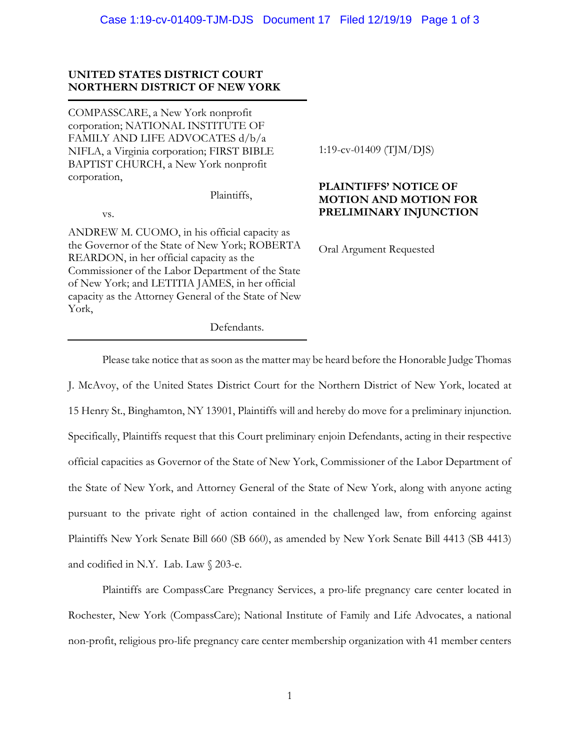# **UNITED STATES DISTRICT COURT NORTHERN DISTRICT OF NEW YORK**

COMPASSCARE, a New York nonprofit corporation; NATIONAL INSTITUTE OF FAMILY AND LIFE ADVOCATES d/b/a NIFLA, a Virginia corporation; FIRST BIBLE BAPTIST CHURCH, a New York nonprofit corporation,

Plaintiffs,

vs.

ANDREW M. CUOMO, in his official capacity as the Governor of the State of New York; ROBERTA REARDON, in her official capacity as the Commissioner of the Labor Department of the State of New York; and LETITIA JAMES, in her official capacity as the Attorney General of the State of New York,

1:19-cv-01409 (TJM/DJS)

# **PLAINTIFFS' NOTICE OF MOTION AND MOTION FOR PRELIMINARY INJUNCTION**

Oral Argument Requested

Defendants.

Please take notice that as soon as the matter may be heard before the Honorable Judge Thomas J. McAvoy, of the United States District Court for the Northern District of New York, located at 15 Henry St., Binghamton, NY 13901, Plaintiffs will and hereby do move for a preliminary injunction. Specifically, Plaintiffs request that this Court preliminary enjoin Defendants, acting in their respective official capacities as Governor of the State of New York, Commissioner of the Labor Department of the State of New York, and Attorney General of the State of New York, along with anyone acting pursuant to the private right of action contained in the challenged law, from enforcing against Plaintiffs New York Senate Bill 660 (SB 660), as amended by New York Senate Bill 4413 (SB 4413) and codified in N.Y. Lab. Law § 203-e.

Plaintiffs are CompassCare Pregnancy Services, a pro-life pregnancy care center located in Rochester, New York (CompassCare); National Institute of Family and Life Advocates, a national non-profit, religious pro-life pregnancy care center membership organization with 41 member centers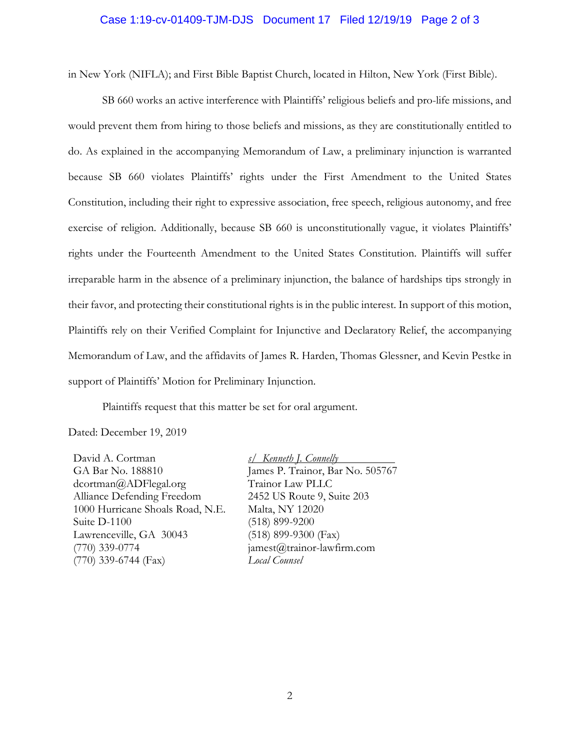#### Case 1:19-cv-01409-TJM-DJS Document 17 Filed 12/19/19 Page 2 of 3

in New York (NIFLA); and First Bible Baptist Church, located in Hilton, New York (First Bible).

SB 660 works an active interference with Plaintiffs' religious beliefs and pro-life missions, and would prevent them from hiring to those beliefs and missions, as they are constitutionally entitled to do. As explained in the accompanying Memorandum of Law, a preliminary injunction is warranted because SB 660 violates Plaintiffs' rights under the First Amendment to the United States Constitution, including their right to expressive association, free speech, religious autonomy, and free exercise of religion. Additionally, because SB 660 is unconstitutionally vague, it violates Plaintiffs' rights under the Fourteenth Amendment to the United States Constitution. Plaintiffs will suffer irreparable harm in the absence of a preliminary injunction, the balance of hardships tips strongly in their favor, and protecting their constitutional rights is in the public interest. In support of this motion, Plaintiffs rely on their Verified Complaint for Injunctive and Declaratory Relief, the accompanying Memorandum of Law, and the affidavits of James R. Harden, Thomas Glessner, and Kevin Pestke in support of Plaintiffs' Motion for Preliminary Injunction.

Plaintiffs request that this matter be set for oral argument.

Dated: December 19, 2019

David A. Cortman GA Bar No. 188810 dcortman@ADFlegal.org Alliance Defending Freedom 1000 Hurricane Shoals Road, N.E. Suite D-1100 Lawrenceville, GA 30043 (770) 339-0774 (770) 339-6744 (Fax)

*s/ Kenneth J. Connelly*  James P. Trainor, Bar No. 505767 Trainor Law PLLC 2452 US Route 9, Suite 203 Malta, NY 12020 (518) 899-9200 (518) 899-9300 (Fax)  $janest@trainor-law firm.com$ *Local Counsel*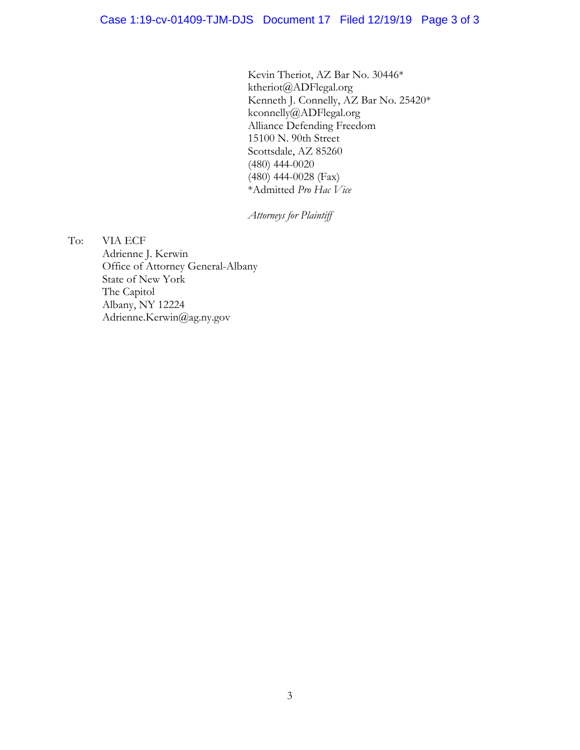Kevin Theriot, AZ Bar No. 30446\* ktheriot@ADFlegal.org Kenneth J. Connelly, AZ Bar No. 25420\* kconnelly@ADFlegal.org Alliance Defending Freedom 15100 N. 90th Street Scottsdale, AZ 85260 (480) 444-0020 (480) 444-0028 (Fax) \*Admitted *Pro Hac Vice*

*Attorneys for Plaintiff*

To: VIA ECF Adrienne J. Kerwin Office of Attorney General-Albany State of New York The Capitol Albany, NY 12224 Adrienne.Kerwin@ag.ny.gov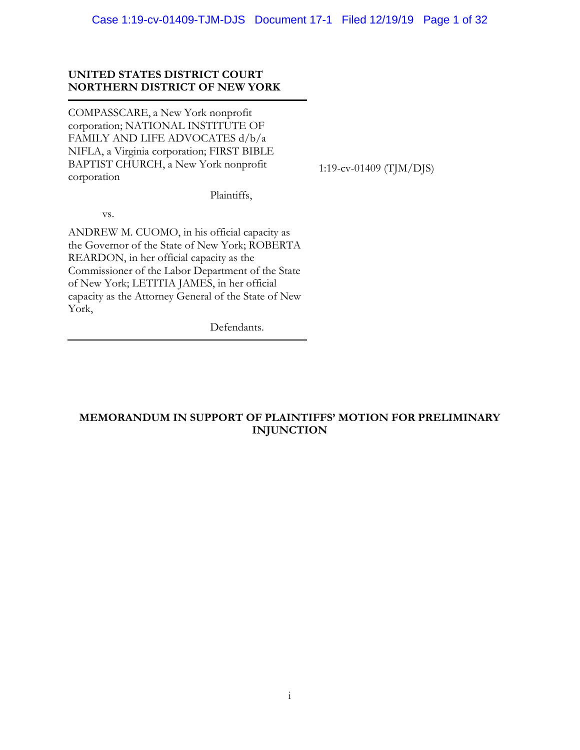# **UNITED STATES DISTRICT COURT NORTHERN DISTRICT OF NEW YORK**

COMPASSCARE, a New York nonprofit corporation; NATIONAL INSTITUTE OF FAMILY AND LIFE ADVOCATES d/b/a NIFLA, a Virginia corporation; FIRST BIBLE BAPTIST CHURCH, a New York nonprofit corporation

1:19-cv-01409 (TJM/DJS)

Plaintiffs,

vs.

ANDREW M. CUOMO, in his official capacity as the Governor of the State of New York; ROBERTA REARDON, in her official capacity as the Commissioner of the Labor Department of the State of New York; LETITIA JAMES, in her official capacity as the Attorney General of the State of New York,

Defendants.

# **MEMORANDUM IN SUPPORT OF PLAINTIFFS' MOTION FOR PRELIMINARY INJUNCTION**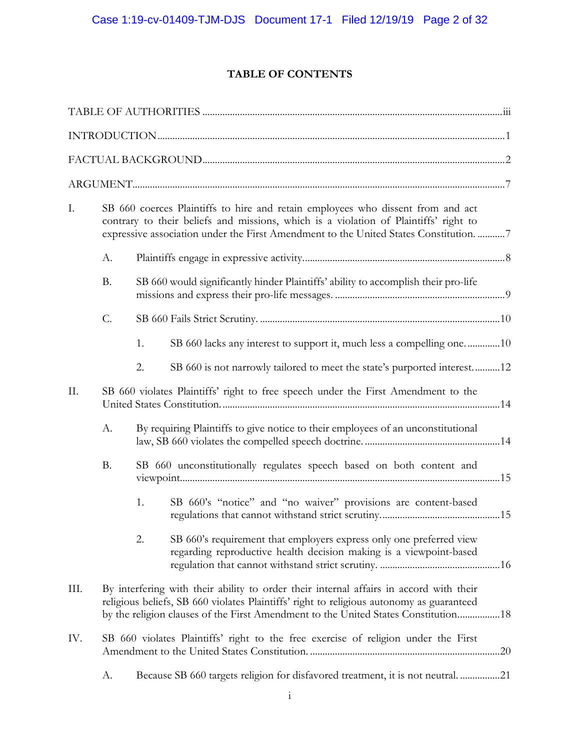# **TABLE OF CONTENTS**

| I.   | SB 660 coerces Plaintiffs to hire and retain employees who dissent from and act<br>contrary to their beliefs and missions, which is a violation of Plaintiffs' right to<br>expressive association under the First Amendment to the United States Constitution. 7 |    |                                                                                                                                                                                                                                                                          |  |  |
|------|------------------------------------------------------------------------------------------------------------------------------------------------------------------------------------------------------------------------------------------------------------------|----|--------------------------------------------------------------------------------------------------------------------------------------------------------------------------------------------------------------------------------------------------------------------------|--|--|
|      | А.                                                                                                                                                                                                                                                               |    |                                                                                                                                                                                                                                                                          |  |  |
|      | <b>B.</b>                                                                                                                                                                                                                                                        |    | SB 660 would significantly hinder Plaintiffs' ability to accomplish their pro-life                                                                                                                                                                                       |  |  |
|      | C.                                                                                                                                                                                                                                                               |    |                                                                                                                                                                                                                                                                          |  |  |
|      |                                                                                                                                                                                                                                                                  | 1. | SB 660 lacks any interest to support it, much less a compelling one10                                                                                                                                                                                                    |  |  |
|      |                                                                                                                                                                                                                                                                  | 2. | SB 660 is not narrowly tailored to meet the state's purported interest12                                                                                                                                                                                                 |  |  |
| Π.   | SB 660 violates Plaintiffs' right to free speech under the First Amendment to the                                                                                                                                                                                |    |                                                                                                                                                                                                                                                                          |  |  |
|      | A.                                                                                                                                                                                                                                                               |    | By requiring Plaintiffs to give notice to their employees of an unconstitutional                                                                                                                                                                                         |  |  |
|      | <b>B.</b>                                                                                                                                                                                                                                                        |    | SB 660 unconstitutionally regulates speech based on both content and                                                                                                                                                                                                     |  |  |
|      |                                                                                                                                                                                                                                                                  | 1. | SB 660's "notice" and "no waiver" provisions are content-based                                                                                                                                                                                                           |  |  |
|      |                                                                                                                                                                                                                                                                  | 2. | SB 660's requirement that employers express only one preferred view<br>regarding reproductive health decision making is a viewpoint-based                                                                                                                                |  |  |
| III. |                                                                                                                                                                                                                                                                  |    | By interfering with their ability to order their internal affairs in accord with their<br>religious beliefs, SB 660 violates Plaintiffs' right to religious autonomy as guaranteed<br>by the religion clauses of the First Amendment to the United States Constitution18 |  |  |
| IV.  | SB 660 violates Plaintiffs' right to the free exercise of religion under the First                                                                                                                                                                               |    |                                                                                                                                                                                                                                                                          |  |  |
|      | А.                                                                                                                                                                                                                                                               |    | Because SB 660 targets religion for disfavored treatment, it is not neutral. 21                                                                                                                                                                                          |  |  |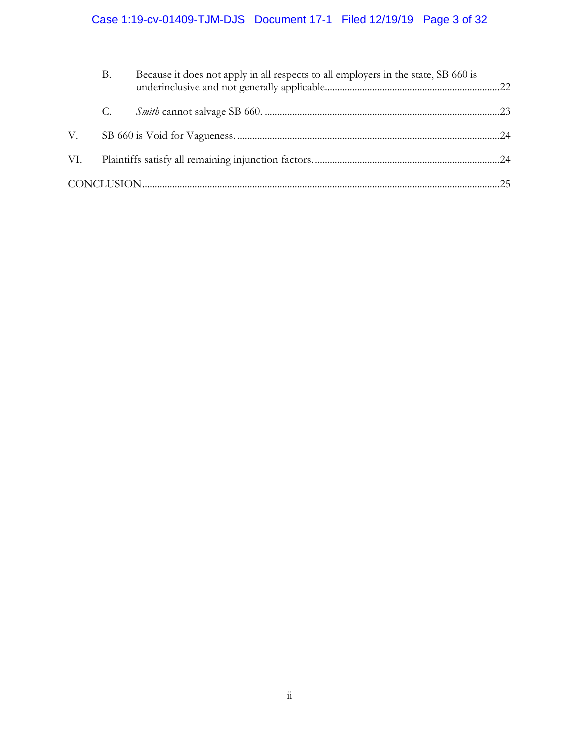# Case 1:19-cv-01409-TJM-DJS Document 17-1 Filed 12/19/19 Page 3 of 32

|     | Β. | Because it does not apply in all respects to all employers in the state, SB 660 is |  |
|-----|----|------------------------------------------------------------------------------------|--|
|     | C. |                                                                                    |  |
| V.  |    |                                                                                    |  |
| VI. |    |                                                                                    |  |
|     |    |                                                                                    |  |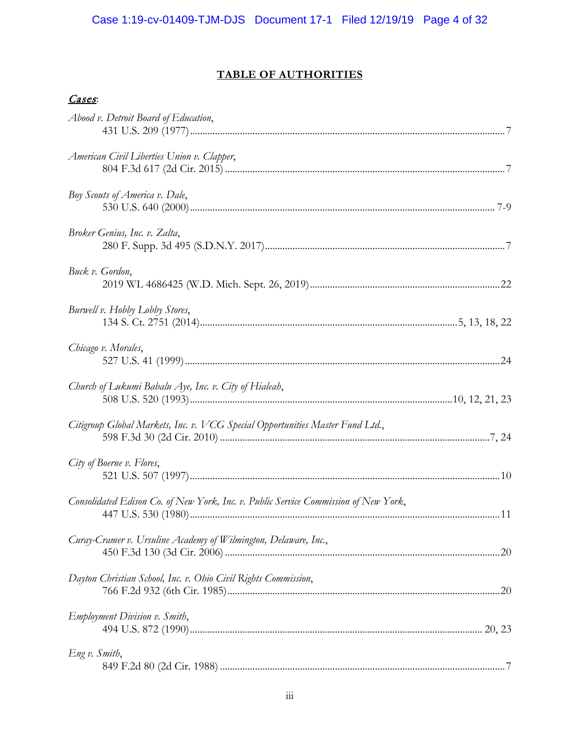# **TABLE OF AUTHORITIES**

# Cases:

| Abood v. Detroit Board of Education,                                                |
|-------------------------------------------------------------------------------------|
| American Civil Liberties Union v. Clapper,                                          |
| Boy Scouts of America v. Dale,                                                      |
| Broker Genius, Inc. v. Zalta,                                                       |
| Buck v. Gordon,                                                                     |
| Burwell v. Hobby Lobby Stores,                                                      |
| Chicago v. Morales,                                                                 |
| Church of Lukumi Babalu Aye, Inc. v. City of Hialeah,                               |
| Citigroup Global Markets, Inc. v. VCG Special Opportunities Master Fund Ltd.,       |
| City of Boerne v. Flores,                                                           |
| Consolidated Edison Co. of New York, Inc. v. Public Service Commission of New York, |
| Curay-Cramer v. Ursuline Academy of Wilmington, Delaware, Inc.,                     |
| Dayton Christian School, Inc. v. Ohio Civil Rights Commission,                      |
| <b>Employment Division v. Smith,</b>                                                |
| Eng v. Smith,                                                                       |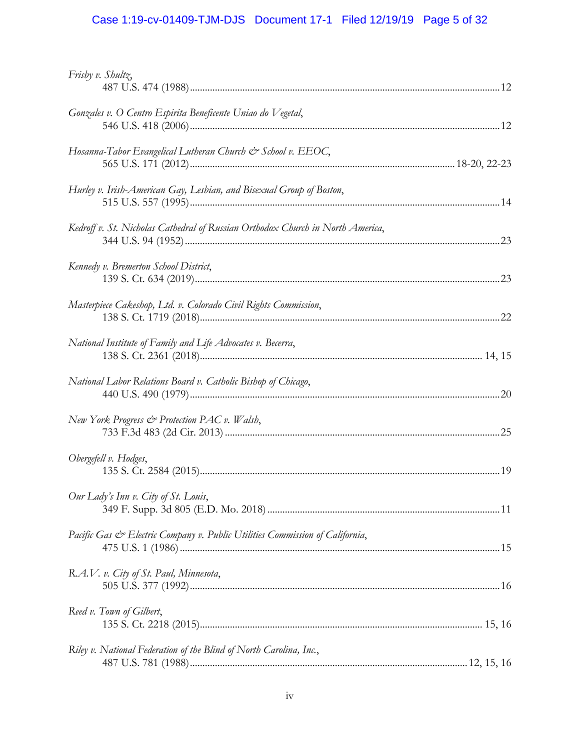# Case 1:19-cv-01409-TJM-DJS Document 17-1 Filed 12/19/19 Page 5 of 32

| Frisby v. Shultz,                                                              |  |
|--------------------------------------------------------------------------------|--|
| Gonzales v. O Centro Espirita Beneficente Uniao do Vegetal,                    |  |
| Hosanna-Tabor Evangelical Lutheran Church & School v. EEOC,                    |  |
| Hurley v. Irish-American Gay, Lesbian, and Bisexual Group of Boston,           |  |
| Kedroff v. St. Nicholas Cathedral of Russian Orthodox Church in North America, |  |
| Kennedy v. Bremerton School District,                                          |  |
| Masterpiece Cakeshop, Ltd. v. Colorado Civil Rights Commission,                |  |
| National Institute of Family and Life Advocates v. Becerra,                    |  |
| National Labor Relations Board v. Catholic Bishop of Chicago,                  |  |
| New York Progress & Protection PAC v. Walsh,                                   |  |
| Obergefell v. Hodges,                                                          |  |
| Our Lady's Inn v. City of St. Louis,                                           |  |
| Pacific Gas & Electric Company v. Public Utilities Commission of California,   |  |
| R.A.V. v. City of St. Paul, Minnesota,                                         |  |
| Reed v. Town of Gilbert,                                                       |  |
| Riley v. National Federation of the Blind of North Carolina, Inc.,             |  |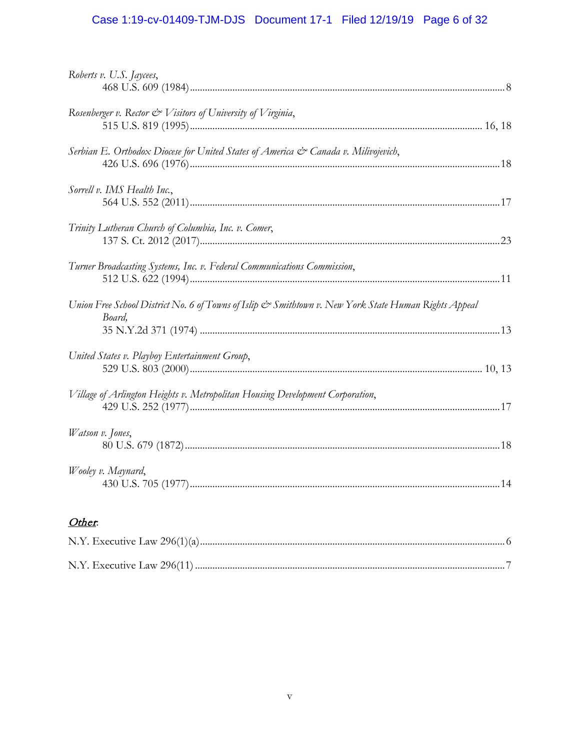# Case 1:19-cv-01409-TJM-DJS Document 17-1 Filed 12/19/19 Page 6 of 32

| Roberts v. U.S. Jaycees,                                                                                       |  |
|----------------------------------------------------------------------------------------------------------------|--|
| Rosenberger v. Rector $\mathcal O$ Visitors of University of Virginia,                                         |  |
| Serbian E. Orthodox Diocese for United States of America & Canada v. Milivojevich,                             |  |
| Sorrell v. IMS Health Inc.,                                                                                    |  |
| Trinity Lutheran Church of Columbia, Inc. v. Comer,                                                            |  |
| Turner Broadcasting Systems, Inc. v. Federal Communications Commission,                                        |  |
| Union Free School District No. 6 of Towns of Islip & Smithtown v. New York State Human Rights Appeal<br>Board, |  |
|                                                                                                                |  |
| United States v. Playboy Entertainment Group,                                                                  |  |
| Village of Arlington Heights v. Metropolitan Housing Development Corporation,                                  |  |
| Watson v. Jones,                                                                                               |  |
| Wooley v. Maynard,                                                                                             |  |
|                                                                                                                |  |

# Other.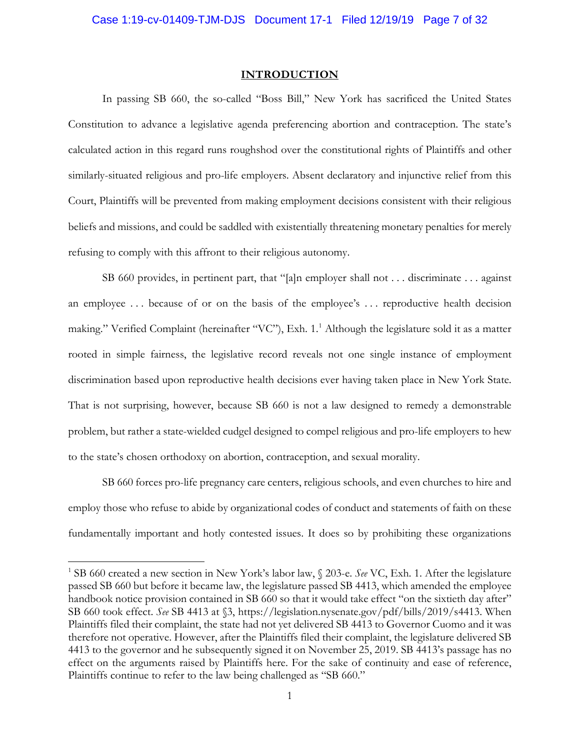#### **INTRODUCTION**

In passing SB 660, the so-called "Boss Bill," New York has sacrificed the United States Constitution to advance a legislative agenda preferencing abortion and contraception. The state's calculated action in this regard runs roughshod over the constitutional rights of Plaintiffs and other similarly-situated religious and pro-life employers. Absent declaratory and injunctive relief from this Court, Plaintiffs will be prevented from making employment decisions consistent with their religious beliefs and missions, and could be saddled with existentially threatening monetary penalties for merely refusing to comply with this affront to their religious autonomy.

SB 660 provides, in pertinent part, that "[a]n employer shall not . . . discriminate . . . against an employee . . . because of or on the basis of the employee's . . . reproductive health decision making." Verified Complaint (hereinafter "VC"), Exh. 1.<sup>1</sup> Although the legislature sold it as a matter rooted in simple fairness, the legislative record reveals not one single instance of employment discrimination based upon reproductive health decisions ever having taken place in New York State. That is not surprising, however, because SB 660 is not a law designed to remedy a demonstrable problem, but rather a state-wielded cudgel designed to compel religious and pro-life employers to hew to the state's chosen orthodoxy on abortion, contraception, and sexual morality.

SB 660 forces pro-life pregnancy care centers, religious schools, and even churches to hire and employ those who refuse to abide by organizational codes of conduct and statements of faith on these fundamentally important and hotly contested issues. It does so by prohibiting these organizations

<sup>1</sup> SB 660 created a new section in New York's labor law, § 203-e. *See* VC, Exh. 1. After the legislature passed SB 660 but before it became law, the legislature passed SB 4413, which amended the employee handbook notice provision contained in SB 660 so that it would take effect "on the sixtieth day after" SB 660 took effect. *See* SB 4413 at §3, https://legislation.nysenate.gov/pdf/bills/2019/s4413. When Plaintiffs filed their complaint, the state had not yet delivered SB 4413 to Governor Cuomo and it was therefore not operative. However, after the Plaintiffs filed their complaint, the legislature delivered SB 4413 to the governor and he subsequently signed it on November 25, 2019. SB 4413's passage has no effect on the arguments raised by Plaintiffs here. For the sake of continuity and ease of reference, Plaintiffs continue to refer to the law being challenged as "SB 660."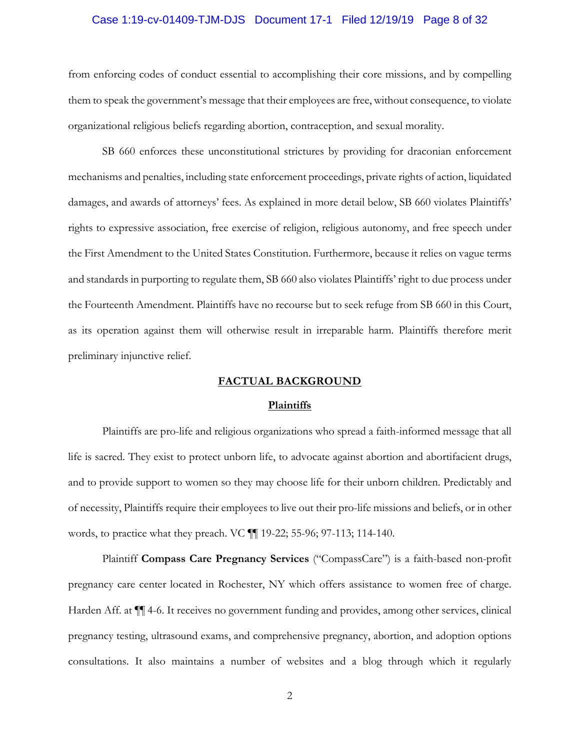#### Case 1:19-cv-01409-TJM-DJS Document 17-1 Filed 12/19/19 Page 8 of 32

from enforcing codes of conduct essential to accomplishing their core missions, and by compelling them to speak the government's message that their employees are free, without consequence, to violate organizational religious beliefs regarding abortion, contraception, and sexual morality.

SB 660 enforces these unconstitutional strictures by providing for draconian enforcement mechanisms and penalties, including state enforcement proceedings, private rights of action, liquidated damages, and awards of attorneys' fees. As explained in more detail below, SB 660 violates Plaintiffs' rights to expressive association, free exercise of religion, religious autonomy, and free speech under the First Amendment to the United States Constitution. Furthermore, because it relies on vague terms and standards in purporting to regulate them, SB 660 also violates Plaintiffs' right to due process under the Fourteenth Amendment. Plaintiffs have no recourse but to seek refuge from SB 660 in this Court, as its operation against them will otherwise result in irreparable harm. Plaintiffs therefore merit preliminary injunctive relief.

## **FACTUAL BACKGROUND**

#### **Plaintiffs**

Plaintiffs are pro-life and religious organizations who spread a faith-informed message that all life is sacred. They exist to protect unborn life, to advocate against abortion and abortifacient drugs, and to provide support to women so they may choose life for their unborn children. Predictably and of necessity, Plaintiffs require their employees to live out their pro-life missions and beliefs, or in other words, to practice what they preach. VC ¶¶ 19-22; 55-96; 97-113; 114-140.

Plaintiff **Compass Care Pregnancy Services** ("CompassCare") is a faith-based non-profit pregnancy care center located in Rochester, NY which offers assistance to women free of charge. Harden Aff. at ¶¶ 4-6. It receives no government funding and provides, among other services, clinical pregnancy testing, ultrasound exams, and comprehensive pregnancy, abortion, and adoption options consultations. It also maintains a number of websites and a blog through which it regularly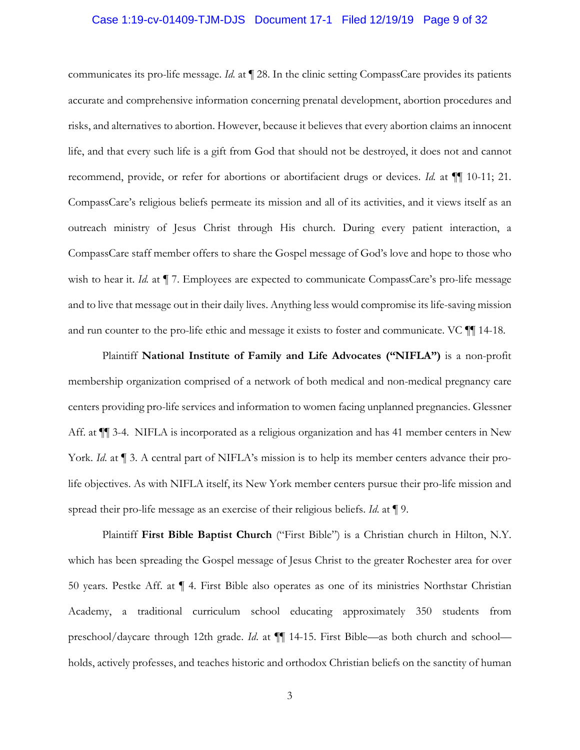## Case 1:19-cv-01409-TJM-DJS Document 17-1 Filed 12/19/19 Page 9 of 32

communicates its pro-life message. *Id*. at ¶ 28. In the clinic setting CompassCare provides its patients accurate and comprehensive information concerning prenatal development, abortion procedures and risks, and alternatives to abortion. However, because it believes that every abortion claims an innocent life, and that every such life is a gift from God that should not be destroyed, it does not and cannot recommend, provide, or refer for abortions or abortifacient drugs or devices. *Id.* at  $\P$  [10-11; 21. CompassCare's religious beliefs permeate its mission and all of its activities, and it views itself as an outreach ministry of Jesus Christ through His church. During every patient interaction, a CompassCare staff member offers to share the Gospel message of God's love and hope to those who wish to hear it. *Id.* at  $\P$  7. Employees are expected to communicate CompassCare's pro-life message and to live that message out in their daily lives. Anything less would compromise its life-saving mission and run counter to the pro-life ethic and message it exists to foster and communicate. VC ¶¶ 14-18.

Plaintiff **National Institute of Family and Life Advocates ("NIFLA")** is a non-profit membership organization comprised of a network of both medical and non-medical pregnancy care centers providing pro-life services and information to women facing unplanned pregnancies. Glessner Aff. at  $\P$  3-4. NIFLA is incorporated as a religious organization and has 41 member centers in New York. *Id.* at  $\P$  3. A central part of NIFLA's mission is to help its member centers advance their prolife objectives. As with NIFLA itself, its New York member centers pursue their pro-life mission and spread their pro-life message as an exercise of their religious beliefs. *Id*. at ¶ 9.

Plaintiff **First Bible Baptist Church** ("First Bible") is a Christian church in Hilton, N.Y. which has been spreading the Gospel message of Jesus Christ to the greater Rochester area for over 50 years. Pestke Aff. at ¶ 4. First Bible also operates as one of its ministries Northstar Christian Academy, a traditional curriculum school educating approximately 350 students from preschool/daycare through 12th grade. *Id*. at ¶¶ 14-15. First Bible—as both church and school holds, actively professes, and teaches historic and orthodox Christian beliefs on the sanctity of human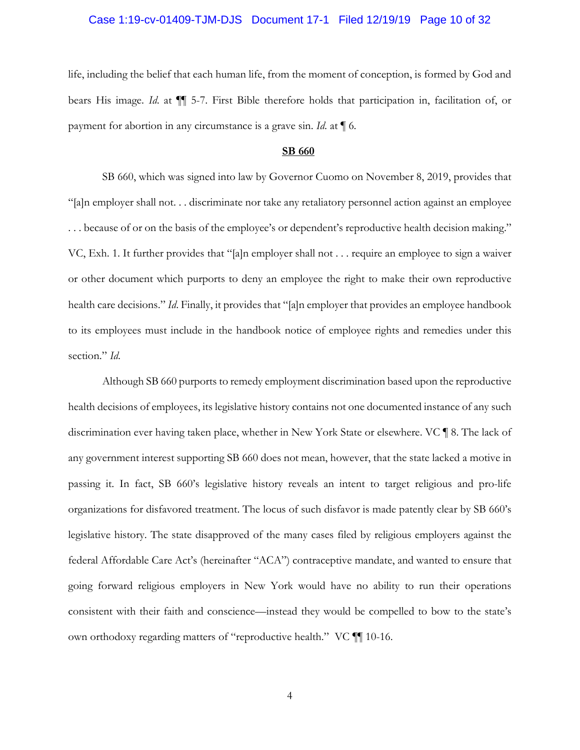#### Case 1:19-cv-01409-TJM-DJS Document 17-1 Filed 12/19/19 Page 10 of 32

life, including the belief that each human life, from the moment of conception, is formed by God and bears His image. *Id*. at ¶¶ 5-7. First Bible therefore holds that participation in, facilitation of, or payment for abortion in any circumstance is a grave sin. *Id*. at ¶ 6.

#### **SB 660**

SB 660, which was signed into law by Governor Cuomo on November 8, 2019, provides that "[a]n employer shall not. . . discriminate nor take any retaliatory personnel action against an employee . . . because of or on the basis of the employee's or dependent's reproductive health decision making." VC, Exh. 1. It further provides that "[a]n employer shall not . . . require an employee to sign a waiver or other document which purports to deny an employee the right to make their own reproductive health care decisions." *Id*. Finally, it provides that "[a]n employer that provides an employee handbook to its employees must include in the handbook notice of employee rights and remedies under this section." *Id*.

Although SB 660 purports to remedy employment discrimination based upon the reproductive health decisions of employees, its legislative history contains not one documented instance of any such discrimination ever having taken place, whether in New York State or elsewhere. VC ¶ 8. The lack of any government interest supporting SB 660 does not mean, however, that the state lacked a motive in passing it. In fact, SB 660's legislative history reveals an intent to target religious and pro-life organizations for disfavored treatment. The locus of such disfavor is made patently clear by SB 660's legislative history. The state disapproved of the many cases filed by religious employers against the federal Affordable Care Act's (hereinafter "ACA") contraceptive mandate, and wanted to ensure that going forward religious employers in New York would have no ability to run their operations consistent with their faith and conscience—instead they would be compelled to bow to the state's own orthodoxy regarding matters of "reproductive health." VC ¶¶ 10-16.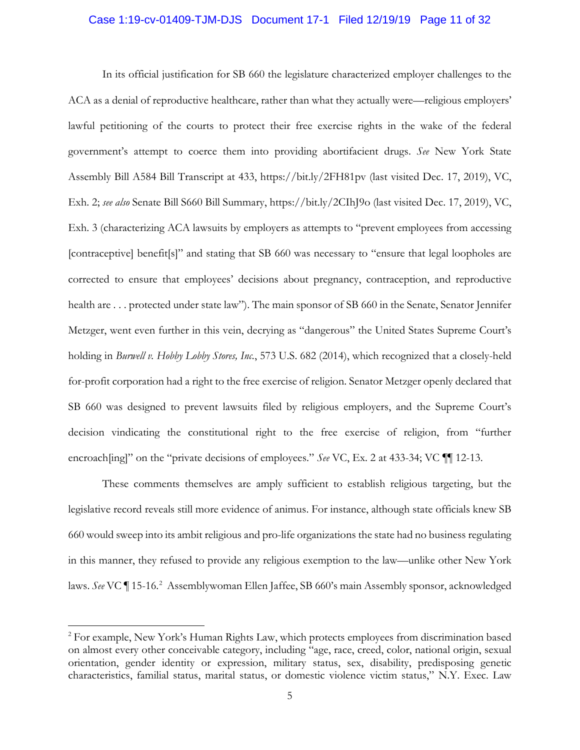#### Case 1:19-cv-01409-TJM-DJS Document 17-1 Filed 12/19/19 Page 11 of 32

In its official justification for SB 660 the legislature characterized employer challenges to the ACA as a denial of reproductive healthcare, rather than what they actually were—religious employers' lawful petitioning of the courts to protect their free exercise rights in the wake of the federal government's attempt to coerce them into providing abortifacient drugs. *See* New York State Assembly Bill A584 Bill Transcript at 433, https://bit.ly/2FH81pv (last visited Dec. 17, 2019), VC, Exh. 2; *see also* Senate Bill S660 Bill Summary, https://bit.ly/2CIhJ9o (last visited Dec. 17, 2019), VC, Exh. 3 (characterizing ACA lawsuits by employers as attempts to "prevent employees from accessing [contraceptive] benefit[s]" and stating that SB 660 was necessary to "ensure that legal loopholes are corrected to ensure that employees' decisions about pregnancy, contraception, and reproductive health are . . . protected under state law"). The main sponsor of SB 660 in the Senate, Senator Jennifer Metzger, went even further in this vein, decrying as "dangerous" the United States Supreme Court's holding in *Burwell v. Hobby Lobby Stores, Inc.*, 573 U.S. 682 (2014), which recognized that a closely-held for-profit corporation had a right to the free exercise of religion. Senator Metzger openly declared that SB 660 was designed to prevent lawsuits filed by religious employers, and the Supreme Court's decision vindicating the constitutional right to the free exercise of religion, from "further encroach[ing]" on the "private decisions of employees." *See* VC, Ex. 2 at 433-34; VC  $\P$  12-13.

These comments themselves are amply sufficient to establish religious targeting, but the legislative record reveals still more evidence of animus. For instance, although state officials knew SB 660 would sweep into its ambit religious and pro-life organizations the state had no business regulating in this manner, they refused to provide any religious exemption to the law—unlike other New York laws. See VC ¶ 15-16.<sup>2</sup> Assemblywoman Ellen Jaffee, SB 660's main Assembly sponsor, acknowledged

<sup>&</sup>lt;sup>2</sup> For example, New York's Human Rights Law, which protects employees from discrimination based on almost every other conceivable category, including "age, race, creed, color, national origin, sexual orientation, gender identity or expression, military status, sex, disability, predisposing genetic characteristics, familial status, marital status, or domestic violence victim status," N.Y. Exec. Law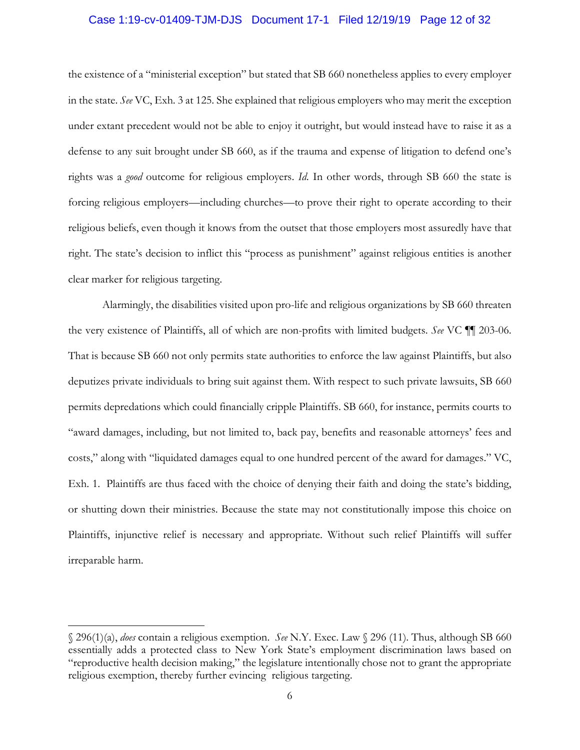#### Case 1:19-cv-01409-TJM-DJS Document 17-1 Filed 12/19/19 Page 12 of 32

the existence of a "ministerial exception" but stated that SB 660 nonetheless applies to every employer in the state. *See* VC, Exh. 3 at 125. She explained that religious employers who may merit the exception under extant precedent would not be able to enjoy it outright, but would instead have to raise it as a defense to any suit brought under SB 660, as if the trauma and expense of litigation to defend one's rights was a *good* outcome for religious employers. *Id*. In other words, through SB 660 the state is forcing religious employers—including churches—to prove their right to operate according to their religious beliefs, even though it knows from the outset that those employers most assuredly have that right. The state's decision to inflict this "process as punishment" against religious entities is another clear marker for religious targeting.

Alarmingly, the disabilities visited upon pro-life and religious organizations by SB 660 threaten the very existence of Plaintiffs, all of which are non-profits with limited budgets. *See* VC ¶¶ 203-06. That is because SB 660 not only permits state authorities to enforce the law against Plaintiffs, but also deputizes private individuals to bring suit against them. With respect to such private lawsuits, SB 660 permits depredations which could financially cripple Plaintiffs. SB 660, for instance, permits courts to "award damages, including, but not limited to, back pay, benefits and reasonable attorneys' fees and costs," along with "liquidated damages equal to one hundred percent of the award for damages." VC, Exh. 1. Plaintiffs are thus faced with the choice of denying their faith and doing the state's bidding, or shutting down their ministries. Because the state may not constitutionally impose this choice on Plaintiffs, injunctive relief is necessary and appropriate. Without such relief Plaintiffs will suffer irreparable harm.

<sup>§ 296(1)(</sup>a), *does* contain a religious exemption. *See* N.Y. Exec. Law § 296 (11). Thus, although SB 660 essentially adds a protected class to New York State's employment discrimination laws based on "reproductive health decision making," the legislature intentionally chose not to grant the appropriate religious exemption, thereby further evincing religious targeting.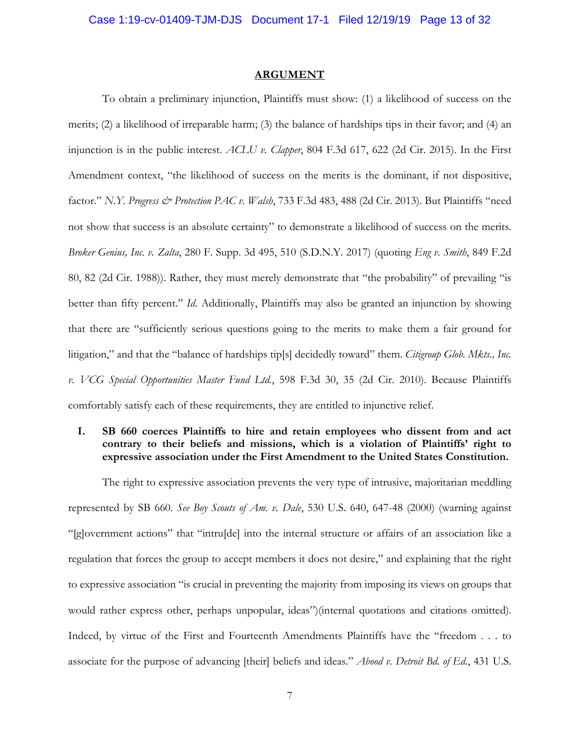#### **ARGUMENT**

To obtain a preliminary injunction, Plaintiffs must show: (1) a likelihood of success on the merits; (2) a likelihood of irreparable harm; (3) the balance of hardships tips in their favor; and (4) an injunction is in the public interest. *ACLU v. Clapper*, 804 F.3d 617, 622 (2d Cir. 2015). In the First Amendment context, "the likelihood of success on the merits is the dominant, if not dispositive, factor." *N.Y. Progress & Protection PAC v. Walsh*, 733 F.3d 483, 488 (2d Cir. 2013). But Plaintiffs "need not show that success is an absolute certainty" to demonstrate a likelihood of success on the merits. *Broker Genius, Inc. v. Zalta*, 280 F. Supp. 3d 495, 510 (S.D.N.Y. 2017) (quoting *Eng v. Smith*, 849 F.2d 80, 82 (2d Cir. 1988)). Rather, they must merely demonstrate that "the probability" of prevailing "is better than fifty percent." *Id*. Additionally, Plaintiffs may also be granted an injunction by showing that there are "sufficiently serious questions going to the merits to make them a fair ground for litigation," and that the "balance of hardships tip[s] decidedly toward" them. *Citigroup Glob. Mkts., Inc. v. VCG Special Opportunities Master Fund Ltd.*, 598 F.3d 30, 35 (2d Cir. 2010). Because Plaintiffs comfortably satisfy each of these requirements, they are entitled to injunctive relief.

# **I. SB 660 coerces Plaintiffs to hire and retain employees who dissent from and act contrary to their beliefs and missions, which is a violation of Plaintiffs' right to expressive association under the First Amendment to the United States Constitution.**

The right to expressive association prevents the very type of intrusive, majoritarian meddling represented by SB 660. *See Boy Scouts of Am. v. Dale*, 530 U.S. 640, 647-48 (2000) (warning against "[g]overnment actions" that "intru[de] into the internal structure or affairs of an association like a regulation that forces the group to accept members it does not desire," and explaining that the right to expressive association "is crucial in preventing the majority from imposing its views on groups that would rather express other, perhaps unpopular, ideas")(internal quotations and citations omitted). Indeed, by virtue of the First and Fourteenth Amendments Plaintiffs have the "freedom . . . to associate for the purpose of advancing [their] beliefs and ideas." *Abood v. Detroit Bd. of Ed.*, 431 U.S.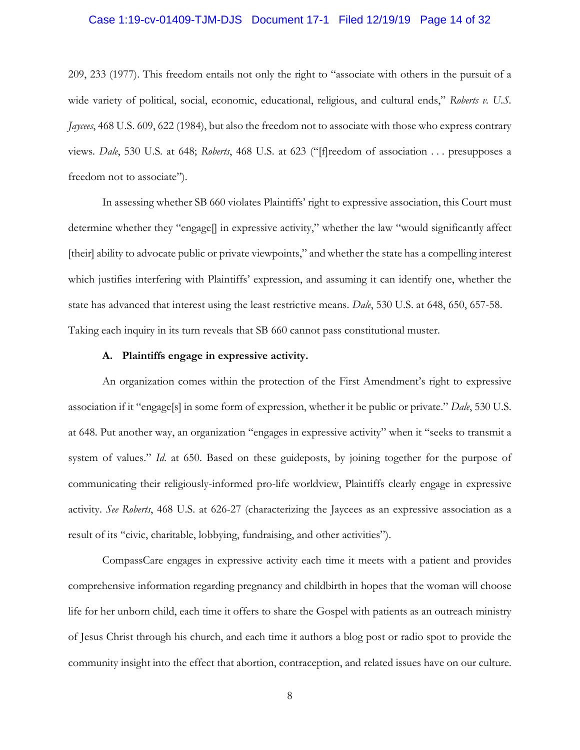## Case 1:19-cv-01409-TJM-DJS Document 17-1 Filed 12/19/19 Page 14 of 32

209, 233 (1977). This freedom entails not only the right to "associate with others in the pursuit of a wide variety of political, social, economic, educational, religious, and cultural ends," *Roberts v. U.S. Jaycees*, 468 U.S. 609, 622 (1984), but also the freedom not to associate with those who express contrary views. *Dale*, 530 U.S. at 648; *Roberts*, 468 U.S. at 623 ("[f]reedom of association . . . presupposes a freedom not to associate").

In assessing whether SB 660 violates Plaintiffs' right to expressive association, this Court must determine whether they "engage[] in expressive activity," whether the law "would significantly affect [their] ability to advocate public or private viewpoints," and whether the state has a compelling interest which justifies interfering with Plaintiffs' expression, and assuming it can identify one, whether the state has advanced that interest using the least restrictive means. *Dale*, 530 U.S. at 648, 650, 657-58. Taking each inquiry in its turn reveals that SB 660 cannot pass constitutional muster.

## **A. Plaintiffs engage in expressive activity.**

An organization comes within the protection of the First Amendment's right to expressive association if it "engage[s] in some form of expression, whether it be public or private." *Dale*, 530 U.S. at 648. Put another way, an organization "engages in expressive activity" when it "seeks to transmit a system of values." *Id*. at 650. Based on these guideposts, by joining together for the purpose of communicating their religiously-informed pro-life worldview, Plaintiffs clearly engage in expressive activity. *See Roberts*, 468 U.S. at 626-27 (characterizing the Jaycees as an expressive association as a result of its "civic, charitable, lobbying, fundraising, and other activities").

CompassCare engages in expressive activity each time it meets with a patient and provides comprehensive information regarding pregnancy and childbirth in hopes that the woman will choose life for her unborn child, each time it offers to share the Gospel with patients as an outreach ministry of Jesus Christ through his church, and each time it authors a blog post or radio spot to provide the community insight into the effect that abortion, contraception, and related issues have on our culture.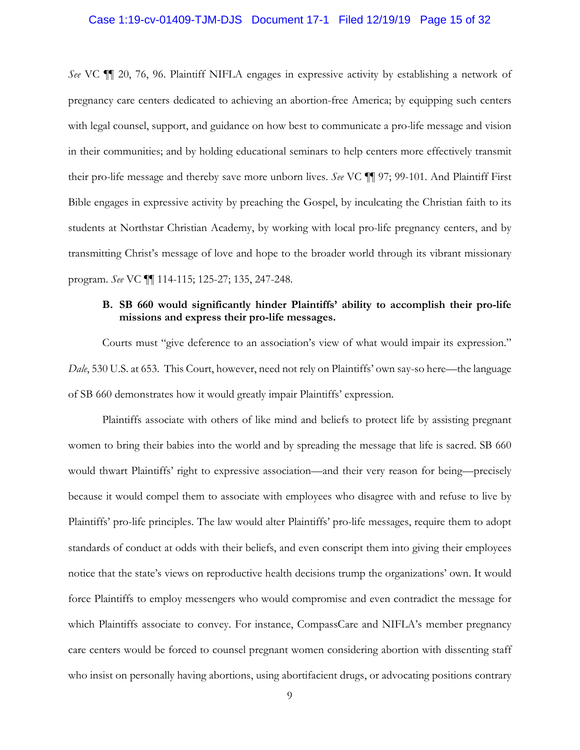#### Case 1:19-cv-01409-TJM-DJS Document 17-1 Filed 12/19/19 Page 15 of 32

*See* VC ¶¶ 20, 76, 96. Plaintiff NIFLA engages in expressive activity by establishing a network of pregnancy care centers dedicated to achieving an abortion-free America; by equipping such centers with legal counsel, support, and guidance on how best to communicate a pro-life message and vision in their communities; and by holding educational seminars to help centers more effectively transmit their pro-life message and thereby save more unborn lives. *See* VC ¶¶ 97; 99-101. And Plaintiff First Bible engages in expressive activity by preaching the Gospel, by inculcating the Christian faith to its students at Northstar Christian Academy, by working with local pro-life pregnancy centers, and by transmitting Christ's message of love and hope to the broader world through its vibrant missionary program. *See* VC ¶¶ 114-115; 125-27; 135, 247-248.

# **B. SB 660 would significantly hinder Plaintiffs' ability to accomplish their pro-life missions and express their pro-life messages.**

Courts must "give deference to an association's view of what would impair its expression." *Dale*, 530 U.S. at 653. This Court, however, need not rely on Plaintiffs' own say-so here—the language of SB 660 demonstrates how it would greatly impair Plaintiffs' expression.

Plaintiffs associate with others of like mind and beliefs to protect life by assisting pregnant women to bring their babies into the world and by spreading the message that life is sacred. SB 660 would thwart Plaintiffs' right to expressive association—and their very reason for being—precisely because it would compel them to associate with employees who disagree with and refuse to live by Plaintiffs' pro-life principles. The law would alter Plaintiffs' pro-life messages, require them to adopt standards of conduct at odds with their beliefs, and even conscript them into giving their employees notice that the state's views on reproductive health decisions trump the organizations' own. It would force Plaintiffs to employ messengers who would compromise and even contradict the message for which Plaintiffs associate to convey. For instance, CompassCare and NIFLA's member pregnancy care centers would be forced to counsel pregnant women considering abortion with dissenting staff who insist on personally having abortions, using abortifacient drugs, or advocating positions contrary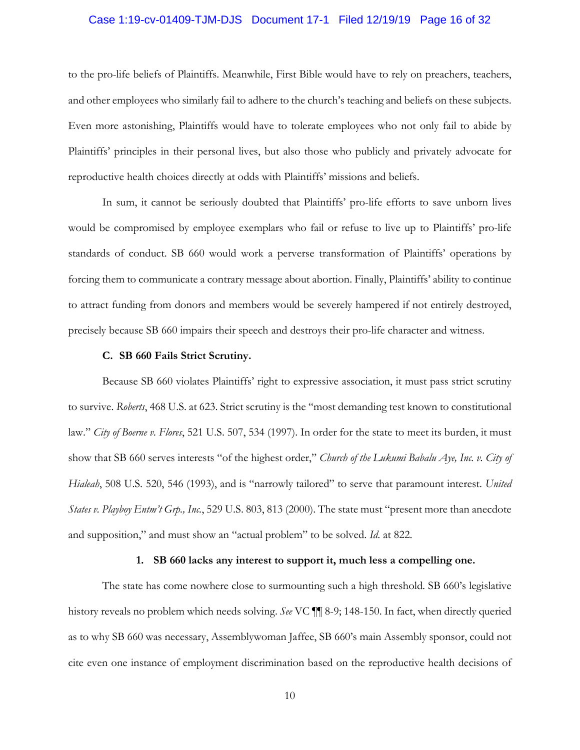#### Case 1:19-cv-01409-TJM-DJS Document 17-1 Filed 12/19/19 Page 16 of 32

to the pro-life beliefs of Plaintiffs. Meanwhile, First Bible would have to rely on preachers, teachers, and other employees who similarly fail to adhere to the church's teaching and beliefs on these subjects. Even more astonishing, Plaintiffs would have to tolerate employees who not only fail to abide by Plaintiffs' principles in their personal lives, but also those who publicly and privately advocate for reproductive health choices directly at odds with Plaintiffs' missions and beliefs.

In sum, it cannot be seriously doubted that Plaintiffs' pro-life efforts to save unborn lives would be compromised by employee exemplars who fail or refuse to live up to Plaintiffs' pro-life standards of conduct. SB 660 would work a perverse transformation of Plaintiffs' operations by forcing them to communicate a contrary message about abortion. Finally, Plaintiffs' ability to continue to attract funding from donors and members would be severely hampered if not entirely destroyed, precisely because SB 660 impairs their speech and destroys their pro-life character and witness.

#### **C. SB 660 Fails Strict Scrutiny.**

Because SB 660 violates Plaintiffs' right to expressive association, it must pass strict scrutiny to survive. *Roberts*, 468 U.S. at 623. Strict scrutiny is the "most demanding test known to constitutional law." *City of Boerne v. Flores*, 521 U.S. 507, 534 (1997). In order for the state to meet its burden, it must show that SB 660 serves interests "of the highest order," *Church of the Lukumi Babalu Aye, Inc. v. City of Hialeah*, 508 U.S. 520, 546 (1993), and is "narrowly tailored" to serve that paramount interest. *United States v. Playboy Entm't Grp., Inc.*, 529 U.S. 803, 813 (2000). The state must "present more than anecdote and supposition," and must show an "actual problem" to be solved. *Id*. at 822.

#### **1. SB 660 lacks any interest to support it, much less a compelling one.**

The state has come nowhere close to surmounting such a high threshold. SB 660's legislative history reveals no problem which needs solving. *See* VC ¶¶ 8-9; 148-150. In fact, when directly queried as to why SB 660 was necessary, Assemblywoman Jaffee, SB 660's main Assembly sponsor, could not cite even one instance of employment discrimination based on the reproductive health decisions of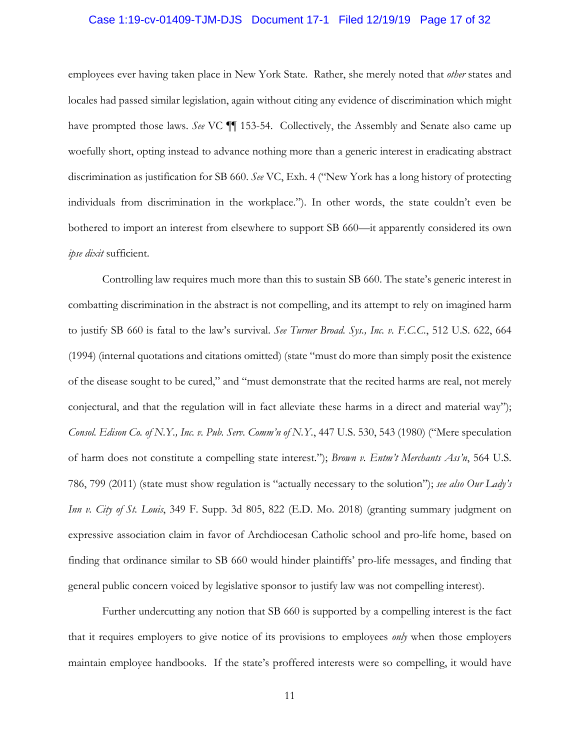#### Case 1:19-cv-01409-TJM-DJS Document 17-1 Filed 12/19/19 Page 17 of 32

employees ever having taken place in New York State. Rather, she merely noted that *other* states and locales had passed similar legislation, again without citing any evidence of discrimination which might have prompted those laws. *See* VC **[1]** 153-54. Collectively, the Assembly and Senate also came up woefully short, opting instead to advance nothing more than a generic interest in eradicating abstract discrimination as justification for SB 660. *See* VC, Exh. 4 ("New York has a long history of protecting individuals from discrimination in the workplace."). In other words, the state couldn't even be bothered to import an interest from elsewhere to support SB 660—it apparently considered its own *ipse dixit* sufficient.

Controlling law requires much more than this to sustain SB 660. The state's generic interest in combatting discrimination in the abstract is not compelling, and its attempt to rely on imagined harm to justify SB 660 is fatal to the law's survival. *See Turner Broad. Sys., Inc. v. F.C.C.*, 512 U.S. 622, 664 (1994) (internal quotations and citations omitted) (state "must do more than simply posit the existence of the disease sought to be cured," and "must demonstrate that the recited harms are real, not merely conjectural, and that the regulation will in fact alleviate these harms in a direct and material way"); *Consol. Edison Co. of N.Y., Inc. v. Pub. Serv. Comm'n of N.Y.*, 447 U.S. 530, 543 (1980) ("Mere speculation of harm does not constitute a compelling state interest."); *Brown v. Entm't Merchants Ass'n*, 564 U.S. 786, 799 (2011) (state must show regulation is "actually necessary to the solution"); *see also Our Lady's Inn v. City of St. Louis*, 349 F. Supp. 3d 805, 822 (E.D. Mo. 2018) (granting summary judgment on expressive association claim in favor of Archdiocesan Catholic school and pro-life home, based on finding that ordinance similar to SB 660 would hinder plaintiffs' pro-life messages, and finding that general public concern voiced by legislative sponsor to justify law was not compelling interest).

Further undercutting any notion that SB 660 is supported by a compelling interest is the fact that it requires employers to give notice of its provisions to employees *only* when those employers maintain employee handbooks. If the state's proffered interests were so compelling, it would have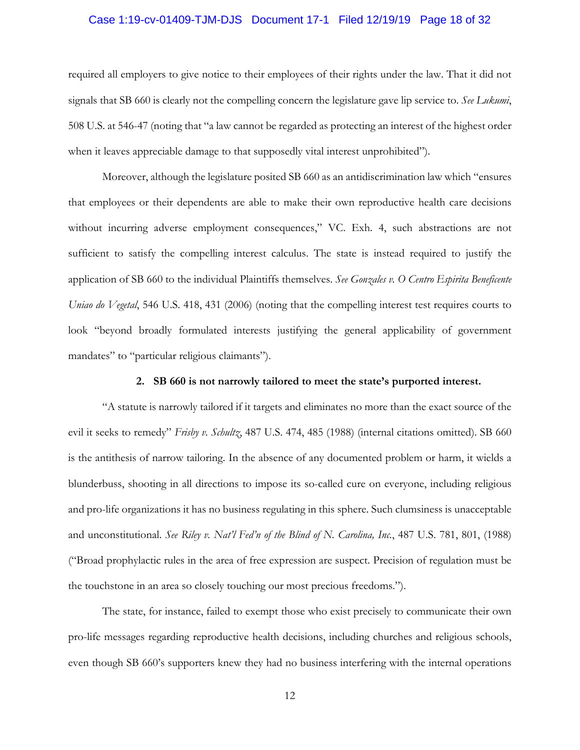#### Case 1:19-cv-01409-TJM-DJS Document 17-1 Filed 12/19/19 Page 18 of 32

required all employers to give notice to their employees of their rights under the law. That it did not signals that SB 660 is clearly not the compelling concern the legislature gave lip service to. *See Lukumi*, 508 U.S. at 546-47 (noting that "a law cannot be regarded as protecting an interest of the highest order when it leaves appreciable damage to that supposedly vital interest unprohibited").

Moreover, although the legislature posited SB 660 as an antidiscrimination law which "ensures that employees or their dependents are able to make their own reproductive health care decisions without incurring adverse employment consequences," VC. Exh. 4, such abstractions are not sufficient to satisfy the compelling interest calculus. The state is instead required to justify the application of SB 660 to the individual Plaintiffs themselves. *See Gonzales v. O Centro Espirita Beneficente Uniao do Vegetal*, 546 U.S. 418, 431 (2006) (noting that the compelling interest test requires courts to look "beyond broadly formulated interests justifying the general applicability of government mandates" to "particular religious claimants").

#### **2. SB 660 is not narrowly tailored to meet the state's purported interest.**

"A statute is narrowly tailored if it targets and eliminates no more than the exact source of the evil it seeks to remedy" *Frisby v. Schultz*, 487 U.S. 474, 485 (1988) (internal citations omitted). SB 660 is the antithesis of narrow tailoring. In the absence of any documented problem or harm, it wields a blunderbuss, shooting in all directions to impose its so-called cure on everyone, including religious and pro-life organizations it has no business regulating in this sphere. Such clumsiness is unacceptable and unconstitutional. *See Riley v. Nat'l Fed'n of the Blind of N. Carolina, Inc.*, 487 U.S. 781, 801, (1988) ("Broad prophylactic rules in the area of free expression are suspect. Precision of regulation must be the touchstone in an area so closely touching our most precious freedoms.").

The state, for instance, failed to exempt those who exist precisely to communicate their own pro-life messages regarding reproductive health decisions, including churches and religious schools, even though SB 660's supporters knew they had no business interfering with the internal operations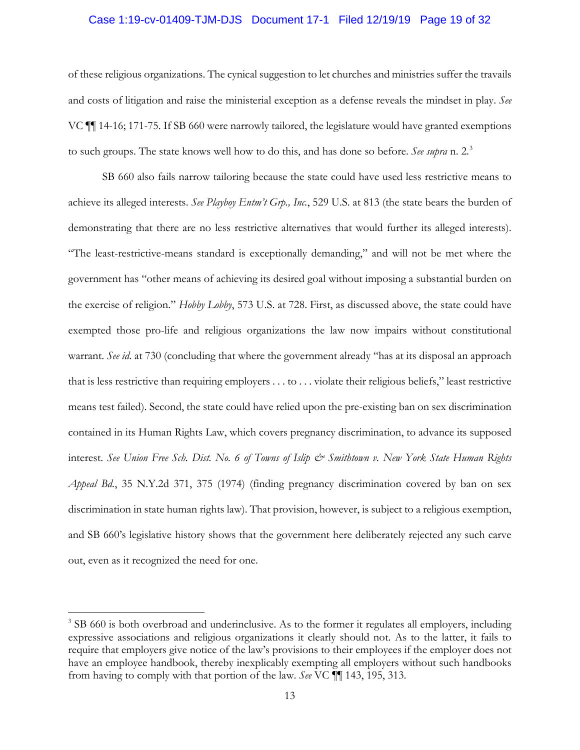#### Case 1:19-cv-01409-TJM-DJS Document 17-1 Filed 12/19/19 Page 19 of 32

of these religious organizations. The cynical suggestion to let churches and ministries suffer the travails and costs of litigation and raise the ministerial exception as a defense reveals the mindset in play. *See* VC ¶¶ 14-16; 171-75. If SB 660 were narrowly tailored, the legislature would have granted exemptions to such groups. The state knows well how to do this, and has done so before. *See supra* n. 2.3

SB 660 also fails narrow tailoring because the state could have used less restrictive means to achieve its alleged interests. *See Playboy Entm't Grp., Inc.*, 529 U.S. at 813 (the state bears the burden of demonstrating that there are no less restrictive alternatives that would further its alleged interests). "The least-restrictive-means standard is exceptionally demanding," and will not be met where the government has "other means of achieving its desired goal without imposing a substantial burden on the exercise of religion." *Hobby Lobby*, 573 U.S. at 728. First, as discussed above, the state could have exempted those pro-life and religious organizations the law now impairs without constitutional warrant. *See id*. at 730 (concluding that where the government already "has at its disposal an approach that is less restrictive than requiring employers . . . to . . . violate their religious beliefs," least restrictive means test failed). Second, the state could have relied upon the pre-existing ban on sex discrimination contained in its Human Rights Law, which covers pregnancy discrimination, to advance its supposed interest. See Union Free Sch. Dist. No. 6 of Towns of Islip & Smithtown v. New York State Human Rights *Appeal Bd.*, 35 N.Y.2d 371, 375 (1974) (finding pregnancy discrimination covered by ban on sex discrimination in state human rights law). That provision, however, is subject to a religious exemption, and SB 660's legislative history shows that the government here deliberately rejected any such carve out, even as it recognized the need for one.

<sup>&</sup>lt;sup>3</sup> SB 660 is both overbroad and underinclusive. As to the former it regulates all employers, including expressive associations and religious organizations it clearly should not. As to the latter, it fails to require that employers give notice of the law's provisions to their employees if the employer does not have an employee handbook, thereby inexplicably exempting all employers without such handbooks from having to comply with that portion of the law. *See* VC ¶¶ 143, 195, 313.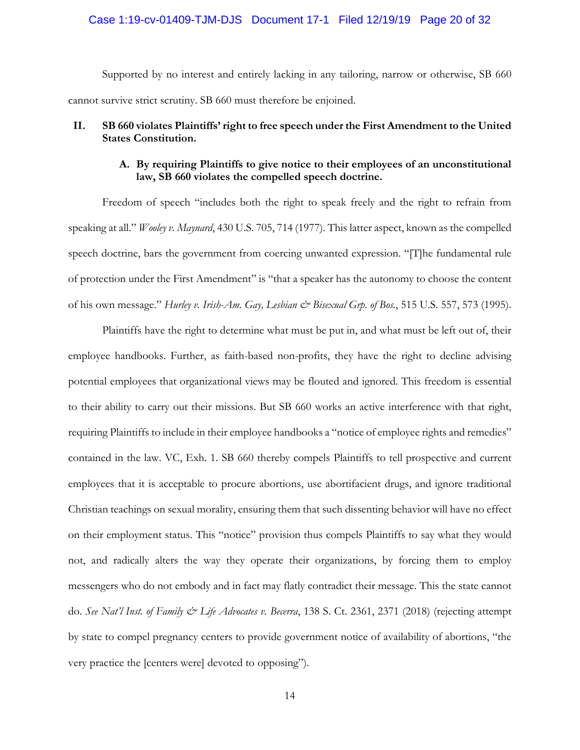#### Case 1:19-cv-01409-TJM-DJS Document 17-1 Filed 12/19/19 Page 20 of 32

Supported by no interest and entirely lacking in any tailoring, narrow or otherwise, SB 660 cannot survive strict scrutiny. SB 660 must therefore be enjoined.

# **II. SB 660 violates Plaintiffs' right to free speech under the First Amendment to the United States Constitution.**

# **A. By requiring Plaintiffs to give notice to their employees of an unconstitutional law, SB 660 violates the compelled speech doctrine.**

Freedom of speech "includes both the right to speak freely and the right to refrain from speaking at all." *Wooley v. Maynard*, 430 U.S. 705, 714 (1977). This latter aspect, known as the compelled speech doctrine, bars the government from coercing unwanted expression. "[T]he fundamental rule of protection under the First Amendment" is "that a speaker has the autonomy to choose the content of his own message." *Hurley v. Irish-Am. Gay, Lesbian & Bisexual Grp. of Bos.*, 515 U.S. 557, 573 (1995).

Plaintiffs have the right to determine what must be put in, and what must be left out of, their employee handbooks. Further, as faith-based non-profits, they have the right to decline advising potential employees that organizational views may be flouted and ignored. This freedom is essential to their ability to carry out their missions. But SB 660 works an active interference with that right, requiring Plaintiffs to include in their employee handbooks a "notice of employee rights and remedies" contained in the law. VC, Exh. 1. SB 660 thereby compels Plaintiffs to tell prospective and current employees that it is acceptable to procure abortions, use abortifacient drugs, and ignore traditional Christian teachings on sexual morality, ensuring them that such dissenting behavior will have no effect on their employment status. This "notice" provision thus compels Plaintiffs to say what they would not, and radically alters the way they operate their organizations, by forcing them to employ messengers who do not embody and in fact may flatly contradict their message. This the state cannot do. *See Nat'l Inst. of Family & Life Advocates v. Becerra*, 138 S. Ct. 2361, 2371 (2018) (rejecting attempt by state to compel pregnancy centers to provide government notice of availability of abortions, "the very practice the [centers were] devoted to opposing").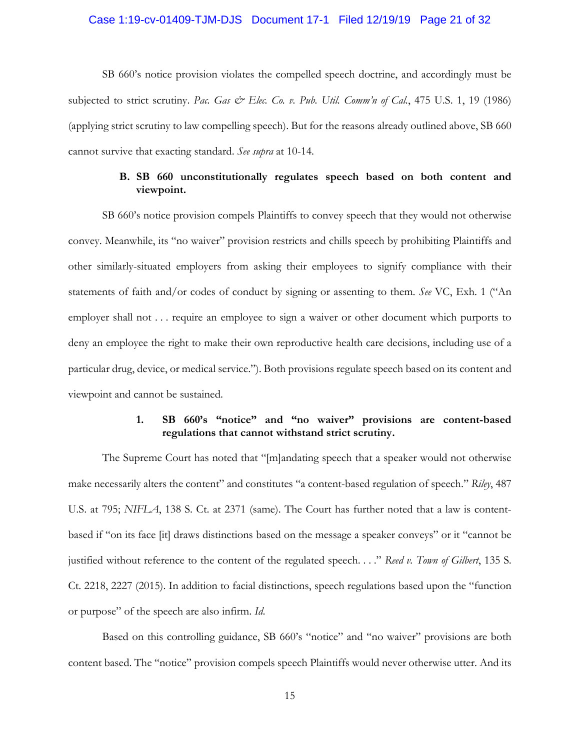#### Case 1:19-cv-01409-TJM-DJS Document 17-1 Filed 12/19/19 Page 21 of 32

SB 660's notice provision violates the compelled speech doctrine, and accordingly must be subjected to strict scrutiny. *Pac. Gas & Elec. Co. v. Pub. Util. Comm'n of Cal.*, 475 U.S. 1, 19 (1986) (applying strict scrutiny to law compelling speech). But for the reasons already outlined above, SB 660 cannot survive that exacting standard. *See supra* at 10-14.

# **B. SB 660 unconstitutionally regulates speech based on both content and viewpoint.**

SB 660's notice provision compels Plaintiffs to convey speech that they would not otherwise convey. Meanwhile, its "no waiver" provision restricts and chills speech by prohibiting Plaintiffs and other similarly-situated employers from asking their employees to signify compliance with their statements of faith and/or codes of conduct by signing or assenting to them. *See* VC, Exh. 1 ("An employer shall not . . . require an employee to sign a waiver or other document which purports to deny an employee the right to make their own reproductive health care decisions, including use of a particular drug, device, or medical service."). Both provisions regulate speech based on its content and viewpoint and cannot be sustained.

# **1. SB 660's "notice" and "no waiver" provisions are content-based regulations that cannot withstand strict scrutiny.**

The Supreme Court has noted that "[m]andating speech that a speaker would not otherwise make necessarily alters the content" and constitutes "a content-based regulation of speech." *Riley*, 487 U.S. at 795; *NIFLA*, 138 S. Ct. at 2371 (same). The Court has further noted that a law is contentbased if "on its face [it] draws distinctions based on the message a speaker conveys" or it "cannot be justified without reference to the content of the regulated speech. . . ." *Reed v. Town of Gilbert*, 135 S. Ct. 2218, 2227 (2015). In addition to facial distinctions, speech regulations based upon the "function or purpose" of the speech are also infirm. *Id*.

Based on this controlling guidance, SB 660's "notice" and "no waiver" provisions are both content based. The "notice" provision compels speech Plaintiffs would never otherwise utter. And its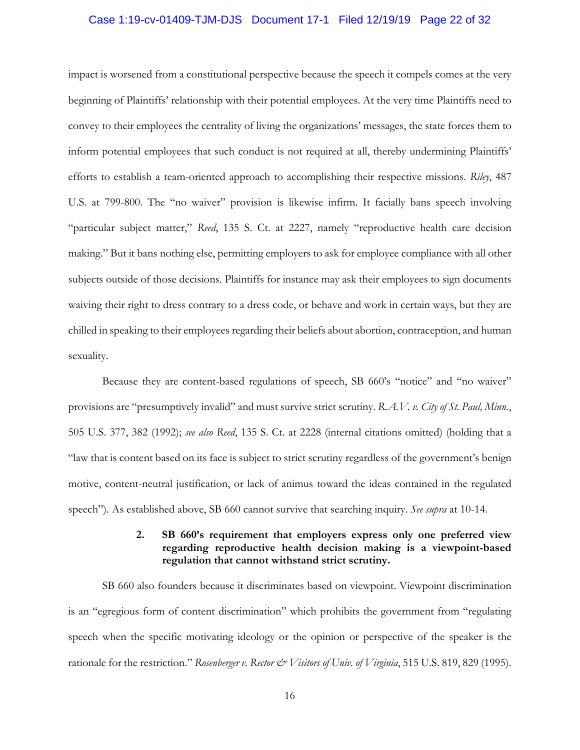#### Case 1:19-cv-01409-TJM-DJS Document 17-1 Filed 12/19/19 Page 22 of 32

impact is worsened from a constitutional perspective because the speech it compels comes at the very beginning of Plaintiffs' relationship with their potential employees. At the very time Plaintiffs need to convey to their employees the centrality of living the organizations' messages, the state forces them to inform potential employees that such conduct is not required at all, thereby undermining Plaintiffs' efforts to establish a team-oriented approach to accomplishing their respective missions. *Riley*, 487 U.S. at 799-800. The "no waiver" provision is likewise infirm. It facially bans speech involving "particular subject matter," *Reed*, 135 S. Ct. at 2227, namely "reproductive health care decision making." But it bans nothing else, permitting employers to ask for employee compliance with all other subjects outside of those decisions. Plaintiffs for instance may ask their employees to sign documents waiving their right to dress contrary to a dress code, or behave and work in certain ways, but they are chilled in speaking to their employees regarding their beliefs about abortion, contraception, and human sexuality.

Because they are content-based regulations of speech, SB 660's "notice" and "no waiver" provisions are "presumptively invalid" and must survive strict scrutiny. *R.A.V. v. City of St. Paul, Minn.*, 505 U.S. 377, 382 (1992); *see also Reed*, 135 S. Ct. at 2228 (internal citations omitted) (holding that a "law that is content based on its face is subject to strict scrutiny regardless of the government's benign motive, content-neutral justification, or lack of animus toward the ideas contained in the regulated speech"). As established above, SB 660 cannot survive that searching inquiry. *See supra* at 10-14.

# **2. SB 660's requirement that employers express only one preferred view regarding reproductive health decision making is a viewpoint-based regulation that cannot withstand strict scrutiny.**

SB 660 also founders because it discriminates based on viewpoint. Viewpoint discrimination is an "egregious form of content discrimination" which prohibits the government from "regulating speech when the specific motivating ideology or the opinion or perspective of the speaker is the rationale for the restriction." *Rosenberger v. Rector & Visitors of Univ. of Virginia*, 515 U.S. 819, 829 (1995).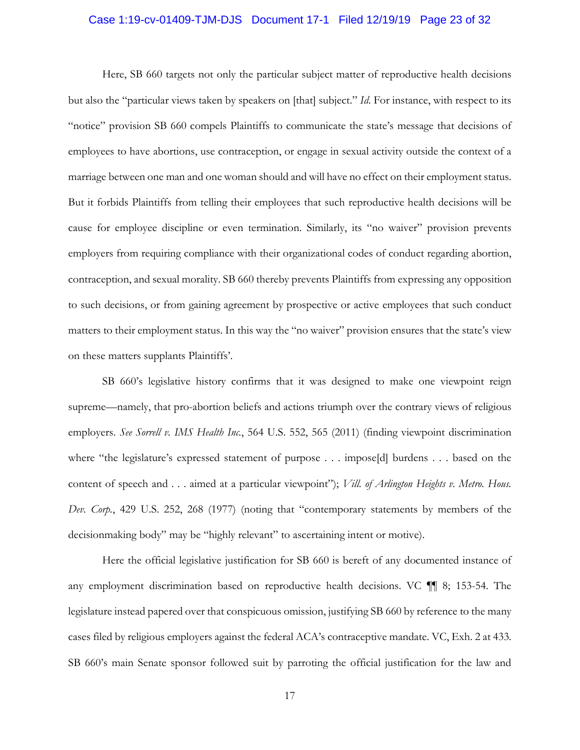## Case 1:19-cv-01409-TJM-DJS Document 17-1 Filed 12/19/19 Page 23 of 32

Here, SB 660 targets not only the particular subject matter of reproductive health decisions but also the "particular views taken by speakers on [that] subject." *Id*. For instance, with respect to its "notice" provision SB 660 compels Plaintiffs to communicate the state's message that decisions of employees to have abortions, use contraception, or engage in sexual activity outside the context of a marriage between one man and one woman should and will have no effect on their employment status. But it forbids Plaintiffs from telling their employees that such reproductive health decisions will be cause for employee discipline or even termination. Similarly, its "no waiver" provision prevents employers from requiring compliance with their organizational codes of conduct regarding abortion, contraception, and sexual morality. SB 660 thereby prevents Plaintiffs from expressing any opposition to such decisions, or from gaining agreement by prospective or active employees that such conduct matters to their employment status. In this way the "no waiver" provision ensures that the state's view on these matters supplants Plaintiffs'.

SB 660's legislative history confirms that it was designed to make one viewpoint reign supreme—namely, that pro-abortion beliefs and actions triumph over the contrary views of religious employers. *See Sorrell v. IMS Health Inc.*, 564 U.S. 552, 565 (2011) (finding viewpoint discrimination where "the legislature's expressed statement of purpose . . . impose[d] burdens . . . based on the content of speech and . . . aimed at a particular viewpoint"); *Vill. of Arlington Heights v. Metro. Hous. Dev. Corp.*, 429 U.S. 252, 268 (1977) (noting that "contemporary statements by members of the decisionmaking body" may be "highly relevant" to ascertaining intent or motive).

Here the official legislative justification for SB 660 is bereft of any documented instance of any employment discrimination based on reproductive health decisions. VC ¶¶ 8; 153-54. The legislature instead papered over that conspicuous omission, justifying SB 660 by reference to the many cases filed by religious employers against the federal ACA's contraceptive mandate. VC, Exh. 2 at 433. SB 660's main Senate sponsor followed suit by parroting the official justification for the law and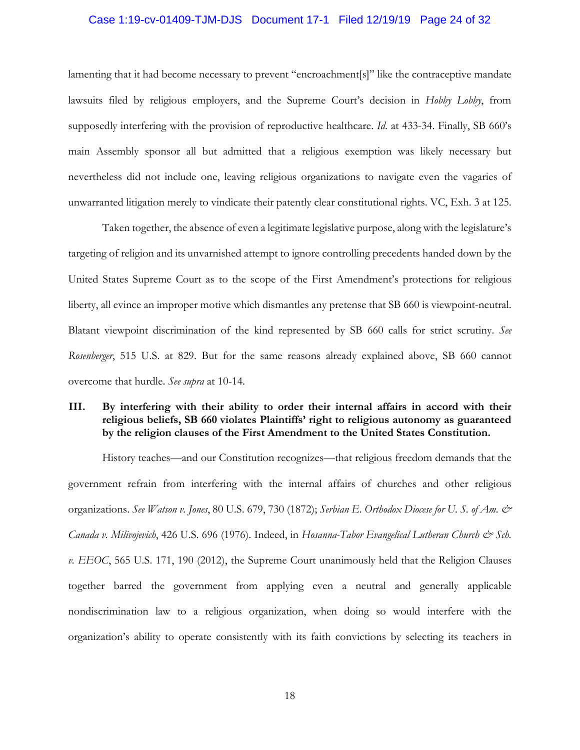## Case 1:19-cv-01409-TJM-DJS Document 17-1 Filed 12/19/19 Page 24 of 32

lamenting that it had become necessary to prevent "encroachment[s]" like the contraceptive mandate lawsuits filed by religious employers, and the Supreme Court's decision in *Hobby Lobby*, from supposedly interfering with the provision of reproductive healthcare. *Id*. at 433-34. Finally, SB 660's main Assembly sponsor all but admitted that a religious exemption was likely necessary but nevertheless did not include one, leaving religious organizations to navigate even the vagaries of unwarranted litigation merely to vindicate their patently clear constitutional rights. VC, Exh. 3 at 125.

Taken together, the absence of even a legitimate legislative purpose, along with the legislature's targeting of religion and its unvarnished attempt to ignore controlling precedents handed down by the United States Supreme Court as to the scope of the First Amendment's protections for religious liberty, all evince an improper motive which dismantles any pretense that SB 660 is viewpoint-neutral. Blatant viewpoint discrimination of the kind represented by SB 660 calls for strict scrutiny. *See Rosenberger*, 515 U.S. at 829. But for the same reasons already explained above, SB 660 cannot overcome that hurdle. *See supra* at 10-14.

# **III. By interfering with their ability to order their internal affairs in accord with their religious beliefs, SB 660 violates Plaintiffs' right to religious autonomy as guaranteed by the religion clauses of the First Amendment to the United States Constitution.**

History teaches—and our Constitution recognizes—that religious freedom demands that the government refrain from interfering with the internal affairs of churches and other religious organizations. *See Watson v. Jones*, 80 U.S. 679, 730 (1872); *Serbian E. Orthodox Diocese for U. S. of Am. & Canada v. Milivojevich*, 426 U.S. 696 (1976). Indeed, in *Hosanna-Tabor Evangelical Lutheran Church & Sch. v. EEOC*, 565 U.S. 171, 190 (2012), the Supreme Court unanimously held that the Religion Clauses together barred the government from applying even a neutral and generally applicable nondiscrimination law to a religious organization, when doing so would interfere with the organization's ability to operate consistently with its faith convictions by selecting its teachers in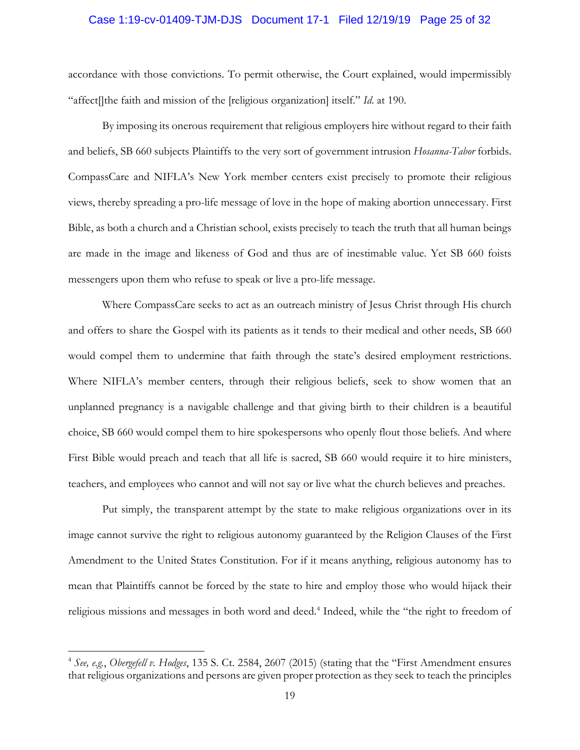## Case 1:19-cv-01409-TJM-DJS Document 17-1 Filed 12/19/19 Page 25 of 32

accordance with those convictions. To permit otherwise, the Court explained, would impermissibly "affect[]the faith and mission of the [religious organization] itself." *Id*. at 190.

By imposing its onerous requirement that religious employers hire without regard to their faith and beliefs, SB 660 subjects Plaintiffs to the very sort of government intrusion *Hosanna-Tabor* forbids. CompassCare and NIFLA's New York member centers exist precisely to promote their religious views, thereby spreading a pro-life message of love in the hope of making abortion unnecessary. First Bible, as both a church and a Christian school, exists precisely to teach the truth that all human beings are made in the image and likeness of God and thus are of inestimable value. Yet SB 660 foists messengers upon them who refuse to speak or live a pro-life message.

Where CompassCare seeks to act as an outreach ministry of Jesus Christ through His church and offers to share the Gospel with its patients as it tends to their medical and other needs, SB 660 would compel them to undermine that faith through the state's desired employment restrictions. Where NIFLA's member centers, through their religious beliefs, seek to show women that an unplanned pregnancy is a navigable challenge and that giving birth to their children is a beautiful choice, SB 660 would compel them to hire spokespersons who openly flout those beliefs. And where First Bible would preach and teach that all life is sacred, SB 660 would require it to hire ministers, teachers, and employees who cannot and will not say or live what the church believes and preaches.

Put simply, the transparent attempt by the state to make religious organizations over in its image cannot survive the right to religious autonomy guaranteed by the Religion Clauses of the First Amendment to the United States Constitution. For if it means anything, religious autonomy has to mean that Plaintiffs cannot be forced by the state to hire and employ those who would hijack their religious missions and messages in both word and deed.<sup>4</sup> Indeed, while the "the right to freedom of

<sup>4</sup> *See, e.g.*, *Obergefell v. Hodges*, 135 S. Ct. 2584, 2607 (2015) (stating that the "First Amendment ensures that religious organizations and persons are given proper protection as they seek to teach the principles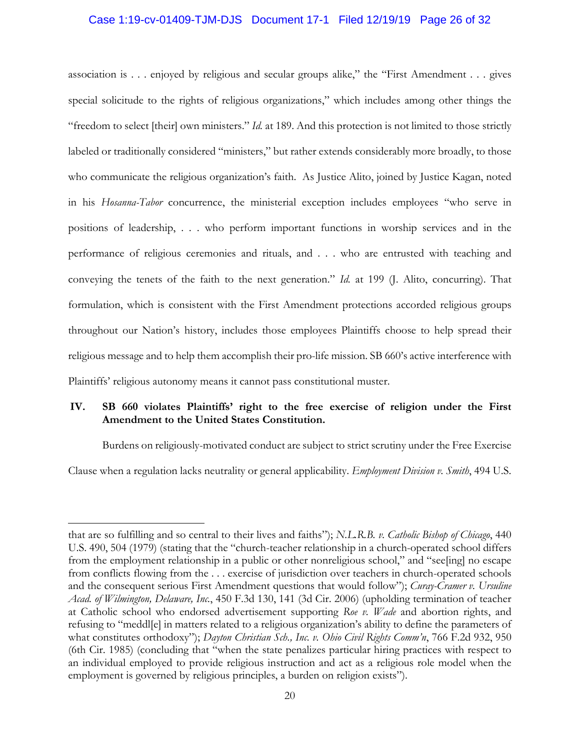# Case 1:19-cv-01409-TJM-DJS Document 17-1 Filed 12/19/19 Page 26 of 32

association is . . . enjoyed by religious and secular groups alike," the "First Amendment . . . gives special solicitude to the rights of religious organizations," which includes among other things the "freedom to select [their] own ministers." *Id.* at 189. And this protection is not limited to those strictly labeled or traditionally considered "ministers," but rather extends considerably more broadly, to those who communicate the religious organization's faith. As Justice Alito, joined by Justice Kagan, noted in his *Hosanna-Tabor* concurrence, the ministerial exception includes employees "who serve in positions of leadership, . . . who perform important functions in worship services and in the performance of religious ceremonies and rituals, and . . . who are entrusted with teaching and conveying the tenets of the faith to the next generation." *Id.* at 199 (J. Alito, concurring). That formulation, which is consistent with the First Amendment protections accorded religious groups throughout our Nation's history, includes those employees Plaintiffs choose to help spread their religious message and to help them accomplish their pro-life mission. SB 660's active interference with Plaintiffs' religious autonomy means it cannot pass constitutional muster.

# **IV. SB 660 violates Plaintiffs' right to the free exercise of religion under the First Amendment to the United States Constitution.**

Burdens on religiously-motivated conduct are subject to strict scrutiny under the Free Exercise Clause when a regulation lacks neutrality or general applicability. *Employment Division v. Smith*, 494 U.S.

that are so fulfilling and so central to their lives and faiths"); *N.L.R.B. v. Catholic Bishop of Chicago*, 440 U.S. 490, 504 (1979) (stating that the "church-teacher relationship in a church-operated school differs from the employment relationship in a public or other nonreligious school," and "see[ing] no escape from conflicts flowing from the . . . exercise of jurisdiction over teachers in church-operated schools and the consequent serious First Amendment questions that would follow"); *Curay-Cramer v. Ursuline Acad. of Wilmington, Delaware, Inc.*, 450 F.3d 130, 141 (3d Cir. 2006) (upholding termination of teacher at Catholic school who endorsed advertisement supporting *Roe v. Wade* and abortion rights, and refusing to "meddl[e] in matters related to a religious organization's ability to define the parameters of what constitutes orthodoxy"); *Dayton Christian Sch., Inc. v. Ohio Civil Rights Comm'n*, 766 F.2d 932, 950 (6th Cir. 1985) (concluding that "when the state penalizes particular hiring practices with respect to an individual employed to provide religious instruction and act as a religious role model when the employment is governed by religious principles, a burden on religion exists").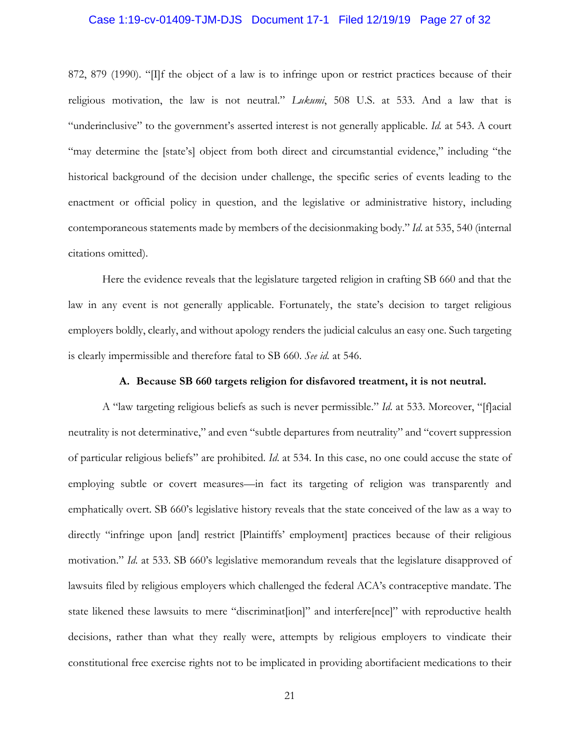## Case 1:19-cv-01409-TJM-DJS Document 17-1 Filed 12/19/19 Page 27 of 32

872, 879 (1990). "[I]f the object of a law is to infringe upon or restrict practices because of their religious motivation, the law is not neutral." *Lukumi*, 508 U.S. at 533. And a law that is "underinclusive" to the government's asserted interest is not generally applicable. *Id.* at 543. A court "may determine the [state's] object from both direct and circumstantial evidence," including "the historical background of the decision under challenge, the specific series of events leading to the enactment or official policy in question, and the legislative or administrative history, including contemporaneous statements made by members of the decisionmaking body." *Id*. at 535, 540 (internal citations omitted).

Here the evidence reveals that the legislature targeted religion in crafting SB 660 and that the law in any event is not generally applicable. Fortunately, the state's decision to target religious employers boldly, clearly, and without apology renders the judicial calculus an easy one. Such targeting is clearly impermissible and therefore fatal to SB 660. *See id.* at 546.

#### **A. Because SB 660 targets religion for disfavored treatment, it is not neutral.**

A "law targeting religious beliefs as such is never permissible." *Id*. at 533. Moreover, "[f]acial neutrality is not determinative," and even "subtle departures from neutrality" and "covert suppression of particular religious beliefs" are prohibited. *Id*. at 534. In this case, no one could accuse the state of employing subtle or covert measures—in fact its targeting of religion was transparently and emphatically overt. SB 660's legislative history reveals that the state conceived of the law as a way to directly "infringe upon [and] restrict [Plaintiffs' employment] practices because of their religious motivation." *Id*. at 533. SB 660's legislative memorandum reveals that the legislature disapproved of lawsuits filed by religious employers which challenged the federal ACA's contraceptive mandate. The state likened these lawsuits to mere "discriminat[ion]" and interfere[nce]" with reproductive health decisions, rather than what they really were, attempts by religious employers to vindicate their constitutional free exercise rights not to be implicated in providing abortifacient medications to their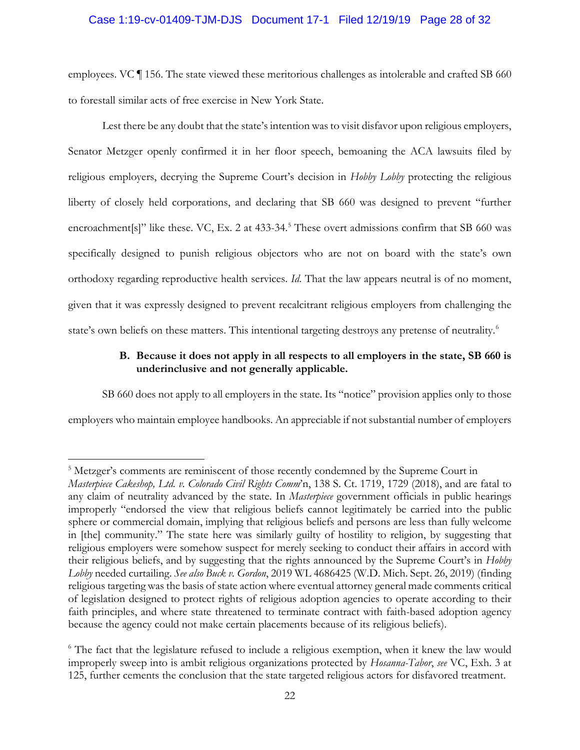# Case 1:19-cv-01409-TJM-DJS Document 17-1 Filed 12/19/19 Page 28 of 32

employees. VC ¶ 156. The state viewed these meritorious challenges as intolerable and crafted SB 660 to forestall similar acts of free exercise in New York State.

Lest there be any doubt that the state's intention was to visit disfavor upon religious employers, Senator Metzger openly confirmed it in her floor speech, bemoaning the ACA lawsuits filed by religious employers, decrying the Supreme Court's decision in *Hobby Lobby* protecting the religious liberty of closely held corporations, and declaring that SB 660 was designed to prevent "further encroachment[s]" like these. VC, Ex. 2 at 433-34.<sup>5</sup> These overt admissions confirm that SB 660 was specifically designed to punish religious objectors who are not on board with the state's own orthodoxy regarding reproductive health services. *Id*. That the law appears neutral is of no moment, given that it was expressly designed to prevent recalcitrant religious employers from challenging the state's own beliefs on these matters. This intentional targeting destroys any pretense of neutrality.<sup>6</sup>

# **B. Because it does not apply in all respects to all employers in the state, SB 660 is underinclusive and not generally applicable.**

SB 660 does not apply to all employers in the state. Its "notice" provision applies only to those employers who maintain employee handbooks. An appreciable if not substantial number of employers

<sup>&</sup>lt;sup>5</sup> Metzger's comments are reminiscent of those recently condemned by the Supreme Court in *Masterpiece Cakeshop, Ltd. v. Colorado Civil Rights Comm*'n, 138 S. Ct. 1719, 1729 (2018), and are fatal to any claim of neutrality advanced by the state. In *Masterpiece* government officials in public hearings improperly "endorsed the view that religious beliefs cannot legitimately be carried into the public sphere or commercial domain, implying that religious beliefs and persons are less than fully welcome in [the] community." The state here was similarly guilty of hostility to religion, by suggesting that religious employers were somehow suspect for merely seeking to conduct their affairs in accord with their religious beliefs, and by suggesting that the rights announced by the Supreme Court's in *Hobby Lobby* needed curtailing. *See also Buck v. Gordon*, 2019 WL 4686425 (W.D. Mich. Sept. 26, 2019) (finding religious targeting was the basis of state action where eventual attorney general made comments critical of legislation designed to protect rights of religious adoption agencies to operate according to their faith principles, and where state threatened to terminate contract with faith-based adoption agency because the agency could not make certain placements because of its religious beliefs).

<sup>&</sup>lt;sup>6</sup> The fact that the legislature refused to include a religious exemption, when it knew the law would improperly sweep into is ambit religious organizations protected by *Hosanna-Tabor*, *see* VC, Exh. 3 at 125, further cements the conclusion that the state targeted religious actors for disfavored treatment.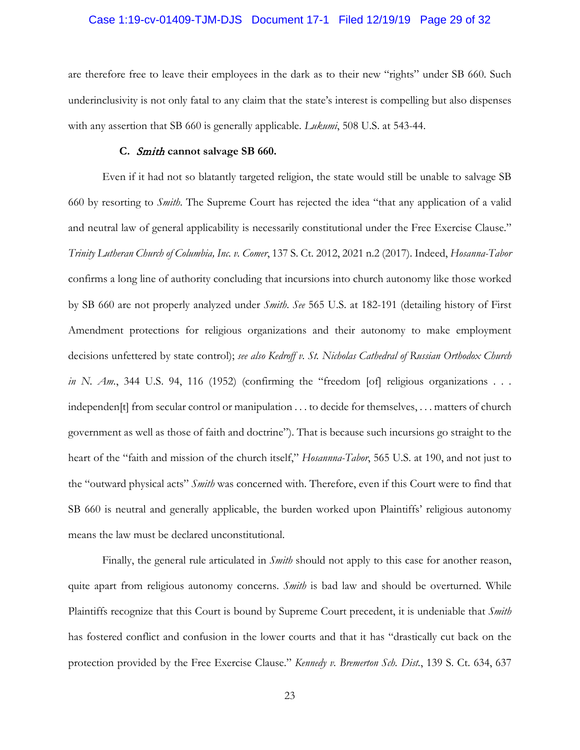#### Case 1:19-cv-01409-TJM-DJS Document 17-1 Filed 12/19/19 Page 29 of 32

are therefore free to leave their employees in the dark as to their new "rights" under SB 660. Such underinclusivity is not only fatal to any claim that the state's interest is compelling but also dispenses with any assertion that SB 660 is generally applicable. *Lukumi*, 508 U.S. at 543-44.

#### **C.** Smith **cannot salvage SB 660.**

Even if it had not so blatantly targeted religion, the state would still be unable to salvage SB 660 by resorting to *Smith*. The Supreme Court has rejected the idea "that any application of a valid and neutral law of general applicability is necessarily constitutional under the Free Exercise Clause." *Trinity Lutheran Church of Columbia, Inc. v. Comer*, 137 S. Ct. 2012, 2021 n.2 (2017). Indeed, *Hosanna-Tabor* confirms a long line of authority concluding that incursions into church autonomy like those worked by SB 660 are not properly analyzed under *Smith*. *See* 565 U.S. at 182-191 (detailing history of First Amendment protections for religious organizations and their autonomy to make employment decisions unfettered by state control); *see also Kedroff v. St. Nicholas Cathedral of Russian Orthodox Church in N. Am.*, 344 U.S. 94, 116 (1952) (confirming the "freedom [of] religious organizations . . . independen[t] from secular control or manipulation . . . to decide for themselves, . . . matters of church government as well as those of faith and doctrine"). That is because such incursions go straight to the heart of the "faith and mission of the church itself," *Hosannna-Tabor*, 565 U.S. at 190, and not just to the "outward physical acts" *Smith* was concerned with. Therefore, even if this Court were to find that SB 660 is neutral and generally applicable, the burden worked upon Plaintiffs' religious autonomy means the law must be declared unconstitutional.

Finally, the general rule articulated in *Smith* should not apply to this case for another reason, quite apart from religious autonomy concerns. *Smith* is bad law and should be overturned. While Plaintiffs recognize that this Court is bound by Supreme Court precedent, it is undeniable that *Smith* has fostered conflict and confusion in the lower courts and that it has "drastically cut back on the protection provided by the Free Exercise Clause." *Kennedy v. Bremerton Sch. Dist.*, 139 S. Ct. 634, 637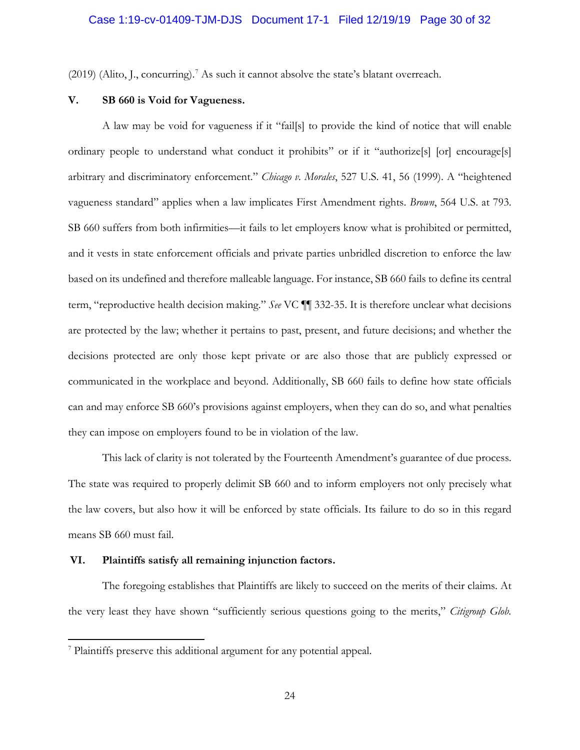$(2019)$  (Alito, J., concurring).<sup>7</sup> As such it cannot absolve the state's blatant overreach.

# **V. SB 660 is Void for Vagueness.**

A law may be void for vagueness if it "fail[s] to provide the kind of notice that will enable ordinary people to understand what conduct it prohibits" or if it "authorize[s] [or] encourage[s] arbitrary and discriminatory enforcement." *Chicago v. Morales*, 527 U.S. 41, 56 (1999). A "heightened vagueness standard" applies when a law implicates First Amendment rights. *Brown*, 564 U.S. at 793. SB 660 suffers from both infirmities—it fails to let employers know what is prohibited or permitted, and it vests in state enforcement officials and private parties unbridled discretion to enforce the law based on its undefined and therefore malleable language. For instance, SB 660 fails to define its central term, "reproductive health decision making." *See* VC ¶¶ 332-35. It is therefore unclear what decisions are protected by the law; whether it pertains to past, present, and future decisions; and whether the decisions protected are only those kept private or are also those that are publicly expressed or communicated in the workplace and beyond. Additionally, SB 660 fails to define how state officials can and may enforce SB 660's provisions against employers, when they can do so, and what penalties they can impose on employers found to be in violation of the law.

This lack of clarity is not tolerated by the Fourteenth Amendment's guarantee of due process. The state was required to properly delimit SB 660 and to inform employers not only precisely what the law covers, but also how it will be enforced by state officials. Its failure to do so in this regard means SB 660 must fail.

#### **VI. Plaintiffs satisfy all remaining injunction factors.**

The foregoing establishes that Plaintiffs are likely to succeed on the merits of their claims. At the very least they have shown "sufficiently serious questions going to the merits," *Citigroup Glob.* 

 $7$  Plaintiffs preserve this additional argument for any potential appeal.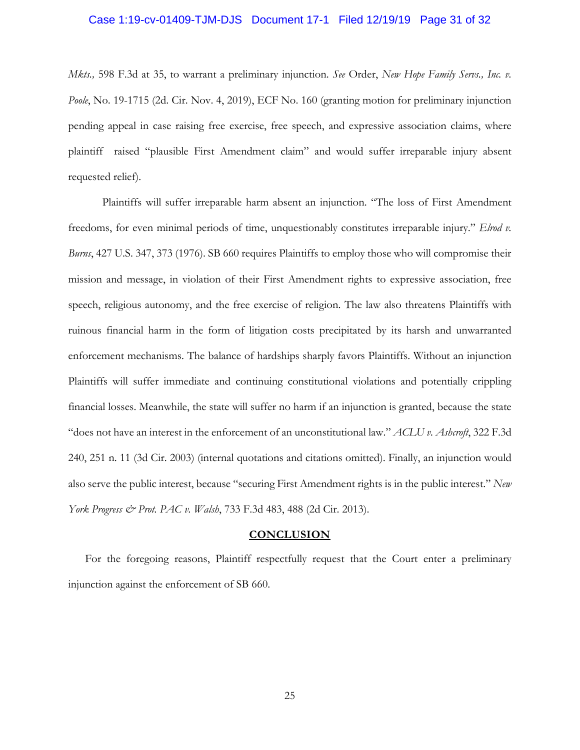#### Case 1:19-cv-01409-TJM-DJS Document 17-1 Filed 12/19/19 Page 31 of 32

*Mkts.,* 598 F.3d at 35, to warrant a preliminary injunction. *See* Order, *New Hope Family Servs., Inc. v. Poole*, No. 19-1715 (2d. Cir. Nov. 4, 2019), ECF No. 160 (granting motion for preliminary injunction pending appeal in case raising free exercise, free speech, and expressive association claims, where plaintiff raised "plausible First Amendment claim" and would suffer irreparable injury absent requested relief).

Plaintiffs will suffer irreparable harm absent an injunction. "The loss of First Amendment freedoms, for even minimal periods of time, unquestionably constitutes irreparable injury." *Elrod v. Burns*, 427 U.S. 347, 373 (1976). SB 660 requires Plaintiffs to employ those who will compromise their mission and message, in violation of their First Amendment rights to expressive association, free speech, religious autonomy, and the free exercise of religion. The law also threatens Plaintiffs with ruinous financial harm in the form of litigation costs precipitated by its harsh and unwarranted enforcement mechanisms. The balance of hardships sharply favors Plaintiffs. Without an injunction Plaintiffs will suffer immediate and continuing constitutional violations and potentially crippling financial losses. Meanwhile, the state will suffer no harm if an injunction is granted, because the state "does not have an interest in the enforcement of an unconstitutional law." *ACLU v. Ashcroft*, 322 F.3d 240, 251 n. 11 (3d Cir. 2003) (internal quotations and citations omitted). Finally, an injunction would also serve the public interest, because "securing First Amendment rights is in the public interest." *New York Progress & Prot. PAC v. Walsh*, 733 F.3d 483, 488 (2d Cir. 2013).

#### **CONCLUSION**

For the foregoing reasons, Plaintiff respectfully request that the Court enter a preliminary injunction against the enforcement of SB 660.